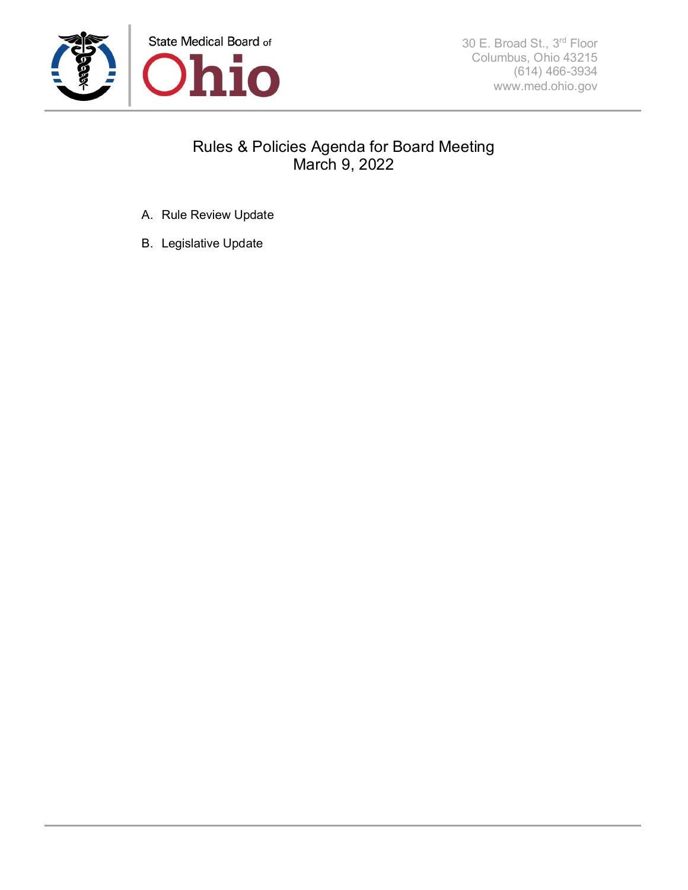

# Rules & Policies Agenda for Board Meeting March 9, 2022

- A. Rule Review Update
- B. Legislative Update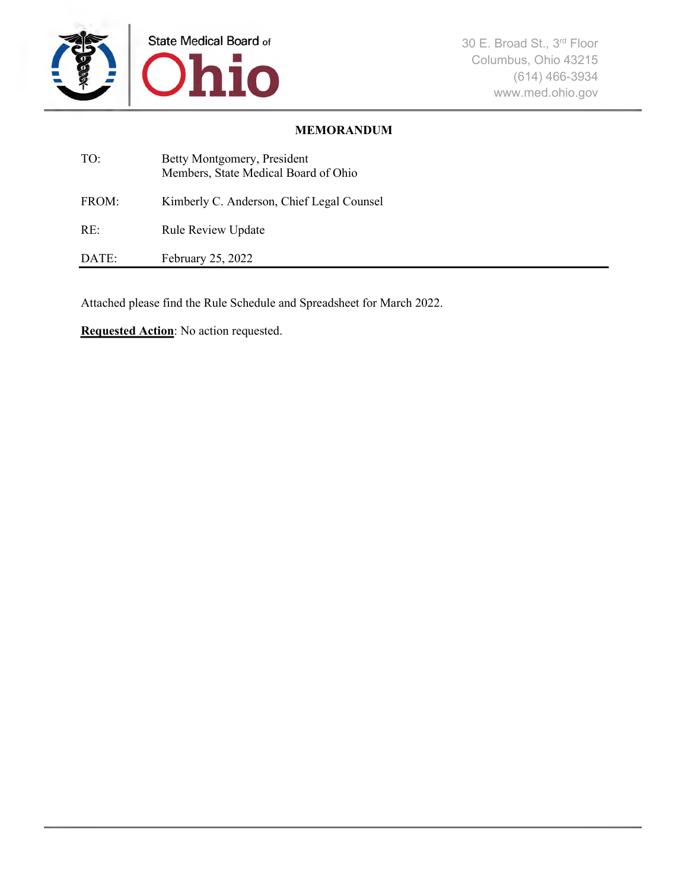

### **MEMORANDUM**

| TO:   | Betty Montgomery, President<br>Members, State Medical Board of Ohio |
|-------|---------------------------------------------------------------------|
| FROM: | Kimberly C. Anderson, Chief Legal Counsel                           |
| RE:   | <b>Rule Review Update</b>                                           |
| DATE: | February 25, 2022                                                   |

Attached please find the Rule Schedule and Spreadsheet for March 2022.

**Requested Action**: No action requested.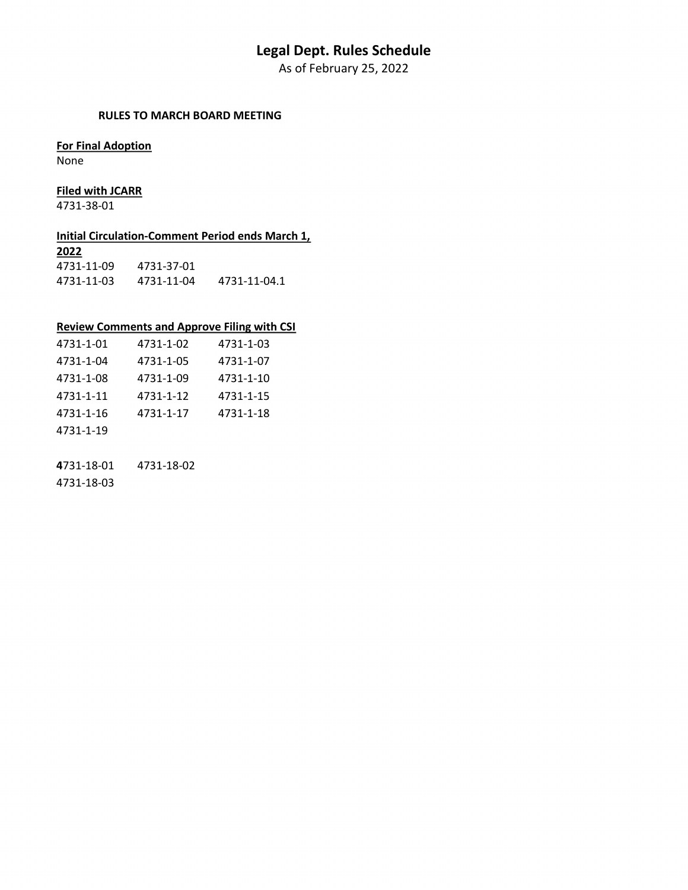# **Legal Dept. Rules Schedule**

As of February 25, 2022

#### **RULES TO MARCH BOARD MEETING**

#### **For Final Adoption**

None

#### **Filed with JCARR**

4731-38-01

#### **Initial Circulation-Comment Period ends March 1,**

| 2022       |            |              |
|------------|------------|--------------|
| 4731-11-09 | 4731-37-01 |              |
| 4731-11-03 | 4731-11-04 | 4731-11-04.1 |

#### **Review Comments and Approve Filing with CSI**

| 4731-1-01 | 4731-1-02 | 4731-1-03 |
|-----------|-----------|-----------|
| 4731-1-04 | 4731-1-05 | 4731-1-07 |
| 4731-1-08 | 4731-1-09 | 4731-1-10 |
| 4731-1-11 | 4731-1-12 | 4731-1-15 |
| 4731-1-16 | 4731-1-17 | 4731-1-18 |
| 4731-1-19 |           |           |
|           |           |           |

**4**731-18-01 4731-18-02

4731-18-03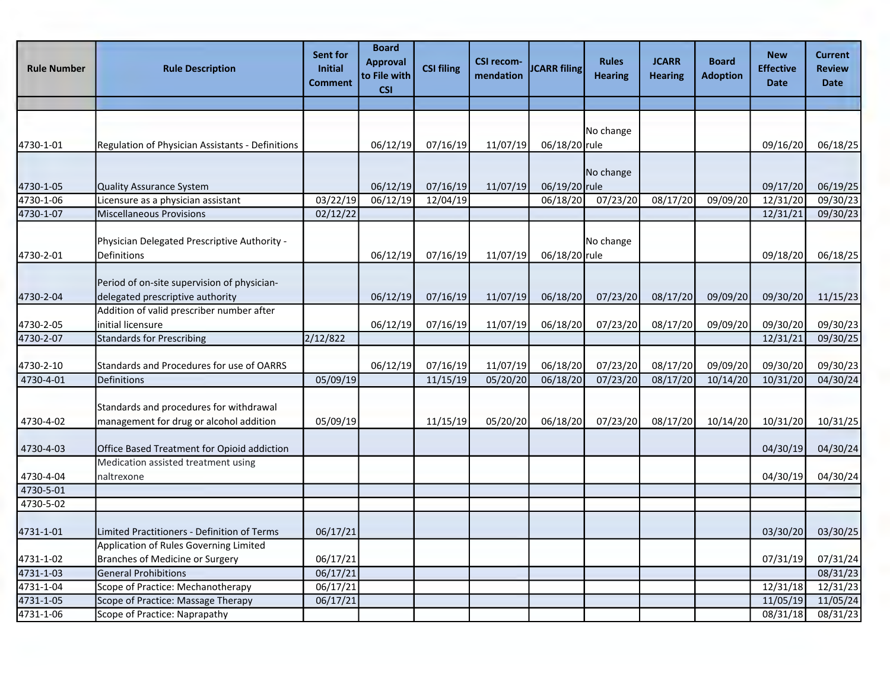| <b>Rule Number</b> | <b>Rule Description</b>                                                            | Sent for<br>Initial<br><b>Comment</b> | <b>Board</b><br><b>Approval</b><br>to File with<br><b>CSI</b> | <b>CSI filing</b> | <b>CSI recom-</b><br>mendation | <b>ICARR filing</b> | <b>Rules</b><br><b>Hearing</b> | <b>JCARR</b><br><b>Hearing</b> | <b>Board</b><br><b>Adoption</b> | <b>New</b><br><b>Effective</b><br><b>Date</b> | <b>Current</b><br><b>Review</b><br><b>Date</b> |
|--------------------|------------------------------------------------------------------------------------|---------------------------------------|---------------------------------------------------------------|-------------------|--------------------------------|---------------------|--------------------------------|--------------------------------|---------------------------------|-----------------------------------------------|------------------------------------------------|
|                    |                                                                                    |                                       |                                                               |                   |                                |                     |                                |                                |                                 |                                               |                                                |
| 4730-1-01          | Regulation of Physician Assistants - Definitions                                   |                                       | 06/12/19                                                      | 07/16/19          | 11/07/19                       | 06/18/20 rule       | No change                      |                                |                                 | 09/16/20                                      | 06/18/25                                       |
| 4730-1-05          | Quality Assurance System                                                           |                                       | 06/12/19                                                      | 07/16/19          | 11/07/19                       | 06/19/20 rule       | No change                      |                                |                                 | 09/17/20                                      | 06/19/25                                       |
| 4730-1-06          | Licensure as a physician assistant                                                 | 03/22/19                              | 06/12/19                                                      | 12/04/19          |                                | 06/18/20            | 07/23/20                       | 08/17/20                       | 09/09/20                        | 12/31/20                                      | 09/30/23                                       |
| 4730-1-07          | Miscellaneous Provisions                                                           | 02/12/22                              |                                                               |                   |                                |                     |                                |                                |                                 | 12/31/21                                      | 09/30/23                                       |
| 4730-2-01          | Physician Delegated Prescriptive Authority -<br>Definitions                        |                                       | 06/12/19                                                      | 07/16/19          | 11/07/19                       | 06/18/20 rule       | No change                      |                                |                                 | 09/18/20                                      | 06/18/25                                       |
| 4730-2-04          | Period of on-site supervision of physician-<br>delegated prescriptive authority    |                                       | 06/12/19                                                      | 07/16/19          | 11/07/19                       | 06/18/20            | 07/23/20                       | 08/17/20                       | 09/09/20                        | 09/30/20                                      | 11/15/23                                       |
| 4730-2-05          | Addition of valid prescriber number after<br>initial licensure                     |                                       | 06/12/19                                                      | 07/16/19          | 11/07/19                       | 06/18/20            | 07/23/20                       | 08/17/20                       | 09/09/20                        | 09/30/20                                      | 09/30/23                                       |
| 4730-2-07          | Standards for Prescribing                                                          | 2/12/822                              |                                                               |                   |                                |                     |                                |                                |                                 | 12/31/21                                      | 09/30/25                                       |
| 4730-2-10          | Standards and Procedures for use of OARRS                                          |                                       | 06/12/19                                                      | 07/16/19          | 11/07/19                       | 06/18/20            | 07/23/20                       | 08/17/20                       | 09/09/20                        | 09/30/20                                      | 09/30/23                                       |
| 4730-4-01          | Definitions                                                                        | 05/09/19                              |                                                               | 11/15/19          | 05/20/20                       | 06/18/20            | 07/23/20                       | 08/17/20                       | 10/14/20                        | 10/31/20                                      | 04/30/24                                       |
| 4730-4-02          | Standards and procedures for withdrawal<br>management for drug or alcohol addition | 05/09/19                              |                                                               | 11/15/19          | 05/20/20                       | 06/18/20            | 07/23/20                       | 08/17/20                       | 10/14/20                        | 10/31/20                                      | 10/31/25                                       |
| 4730-4-03          | Office Based Treatment for Opioid addiction                                        |                                       |                                                               |                   |                                |                     |                                |                                |                                 | 04/30/19                                      | 04/30/24                                       |
| 4730-4-04          | Medication assisted treatment using<br>naltrexone                                  |                                       |                                                               |                   |                                |                     |                                |                                |                                 | 04/30/19                                      | 04/30/24                                       |
| 4730-5-01          |                                                                                    |                                       |                                                               |                   |                                |                     |                                |                                |                                 |                                               |                                                |
| 4730-5-02          |                                                                                    |                                       |                                                               |                   |                                |                     |                                |                                |                                 |                                               |                                                |
| 4731-1-01          | Limited Practitioners - Definition of Terms                                        | 06/17/21                              |                                                               |                   |                                |                     |                                |                                |                                 | 03/30/20                                      | 03/30/25                                       |
| 4731-1-02          | Application of Rules Governing Limited<br>Branches of Medicine or Surgery          | 06/17/21                              |                                                               |                   |                                |                     |                                |                                |                                 | 07/31/19                                      | 07/31/24                                       |
| 4731-1-03          | <b>General Prohibitions</b>                                                        | 06/17/21                              |                                                               |                   |                                |                     |                                |                                |                                 |                                               | 08/31/23                                       |
| 4731-1-04          | Scope of Practice: Mechanotherapy                                                  | 06/17/21                              |                                                               |                   |                                |                     |                                |                                |                                 | 12/31/18                                      | 12/31/23                                       |
| 4731-1-05          | Scope of Practice: Massage Therapy                                                 | 06/17/21                              |                                                               |                   |                                |                     |                                |                                |                                 | 11/05/19                                      | 11/05/24                                       |
| 4731-1-06          | Scope of Practice: Naprapathy                                                      |                                       |                                                               |                   |                                |                     |                                |                                |                                 | 08/31/18                                      | 08/31/23                                       |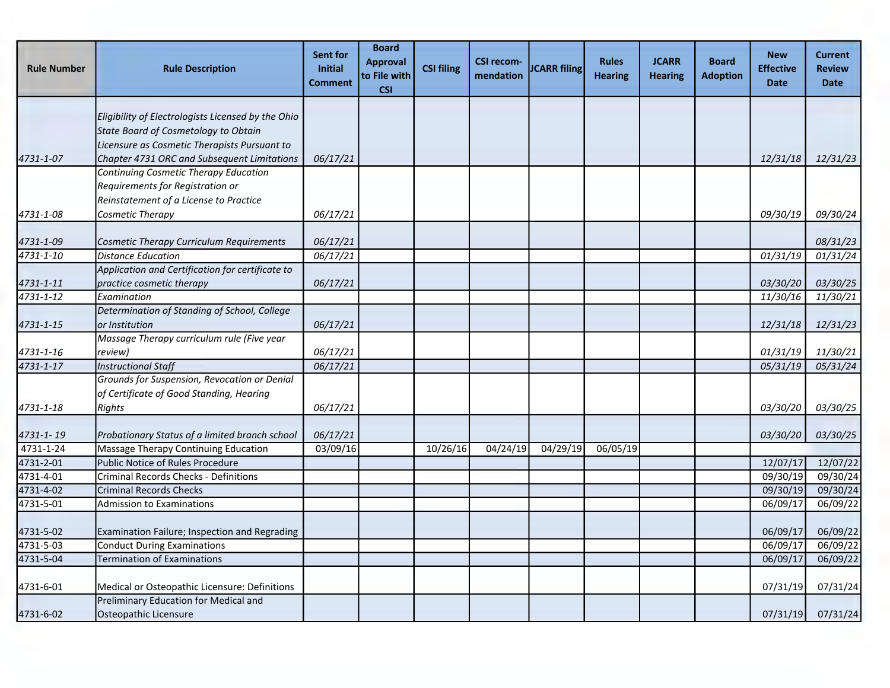| <b>Rule Number</b> | <b>Rule Description</b>                                                                                             | Sent for<br><b>Initial</b><br><b>Comment</b> | <b>Board</b><br><b>Approval</b><br>to File with<br><b>CSI</b> | <b>CSI filing</b> | <b>CSI recom-</b><br>mendation | <b>JCARR filing</b> | <b>Rules</b><br><b>Hearing</b> | <b>JCARR</b><br><b>Hearing</b> | <b>Board</b><br><b>Adoption</b> | <b>New</b><br><b>Effective</b><br><b>Date</b> | Current<br><b>Review</b><br><b>Date</b> |
|--------------------|---------------------------------------------------------------------------------------------------------------------|----------------------------------------------|---------------------------------------------------------------|-------------------|--------------------------------|---------------------|--------------------------------|--------------------------------|---------------------------------|-----------------------------------------------|-----------------------------------------|
|                    | Eligibility of Electrologists Licensed by the Ohio<br>State Board of Cosmetology to Obtain                          |                                              |                                                               |                   |                                |                     |                                |                                |                                 |                                               |                                         |
| 4731-1-07          | Licensure as Cosmetic Therapists Pursuant to<br>Chapter 4731 ORC and Subsequent Limitations                         | 06/17/21                                     |                                                               |                   |                                |                     |                                |                                |                                 | 12/31/18                                      | 12/31/23                                |
|                    | Continuing Cosmetic Therapy Education<br>Requirements for Registration or<br>Reinstatement of a License to Practice |                                              |                                                               |                   |                                |                     |                                |                                |                                 |                                               |                                         |
| 4731-1-08          | Cosmetic Therapy                                                                                                    | 06/17/21                                     |                                                               |                   |                                |                     |                                |                                |                                 | 09/30/19                                      | 09/30/24                                |
| 4731-1-09          | Cosmetic Therapy Curriculum Requirements                                                                            | 06/17/21                                     |                                                               |                   |                                |                     |                                |                                |                                 |                                               | 08/31/23                                |
| 4731-1-10          | <b>Distance Education</b>                                                                                           | 06/17/21                                     |                                                               |                   |                                |                     |                                |                                |                                 | 01/31/19                                      | 01/31/24                                |
| 4731-1-11          | Application and Certification for certificate to<br>practice cosmetic therapy                                       | 06/17/21                                     |                                                               |                   |                                |                     |                                |                                |                                 | 03/30/20                                      | 03/30/25                                |
| 4731-1-12          | Examination                                                                                                         |                                              |                                                               |                   |                                |                     |                                |                                |                                 | 11/30/16                                      | 11/30/21                                |
| 4731-1-15          | Determination of Standing of School, College<br>or Institution                                                      | 06/17/21                                     |                                                               |                   |                                |                     |                                |                                |                                 | 12/31/18                                      | 12/31/23                                |
| 4731-1-16          | Massage Therapy curriculum rule (Five year<br>review)                                                               | 06/17/21                                     |                                                               |                   |                                |                     |                                |                                |                                 | 01/31/19                                      | 11/30/21                                |
| $4731 - 1 - 17$    | <b>Instructional Staff</b>                                                                                          | 06/17/21                                     |                                                               |                   |                                |                     |                                |                                |                                 | 05/31/19                                      | 05/31/24                                |
|                    | Grounds for Suspension, Revocation or Denial<br>of Certificate of Good Standing, Hearing                            |                                              |                                                               |                   |                                |                     |                                |                                |                                 |                                               |                                         |
| 4731-1-18          | Rights                                                                                                              | 06/17/21                                     |                                                               |                   |                                |                     |                                |                                |                                 | 03/30/20                                      | 03/30/25                                |
| 4731-1-19          | Probationary Status of a limited branch school                                                                      | 06/17/21                                     |                                                               |                   |                                |                     |                                |                                |                                 | <i>03/30/20</i>                               | 03/30/25                                |
| 4731-1-24          | Massage Therapy Continuing Education                                                                                | 03/09/16                                     |                                                               | 10/26/16          | 04/24/19                       | 04/29/19            | 06/05/19                       |                                |                                 |                                               |                                         |
| 4731-2-01          | Public Notice of Rules Procedure                                                                                    |                                              |                                                               |                   |                                |                     |                                |                                |                                 | 12/07/17                                      | 12/07/22                                |
| 4731-4-01          | <b>Criminal Records Checks - Definitions</b>                                                                        |                                              |                                                               |                   |                                |                     |                                |                                |                                 | 09/30/19                                      | 09/30/24                                |
| 4731-4-02          | <b>Criminal Records Checks</b>                                                                                      |                                              |                                                               |                   |                                |                     |                                |                                |                                 | 09/30/19                                      | 09/30/24                                |
| 4731-5-01          | <b>Admission to Examinations</b>                                                                                    |                                              |                                                               |                   |                                |                     |                                |                                |                                 | 06/09/17                                      | 06/09/22                                |
| 4731-5-02          | Examination Failure; Inspection and Regrading                                                                       |                                              |                                                               |                   |                                |                     |                                |                                |                                 | 06/09/17                                      | 06/09/22                                |
| 4731-5-03          | <b>Conduct During Examinations</b>                                                                                  |                                              |                                                               |                   |                                |                     |                                |                                |                                 | 06/09/17                                      | 06/09/22                                |
| 4731-5-04          | <b>Termination of Examinations</b>                                                                                  |                                              |                                                               |                   |                                |                     |                                |                                |                                 | 06/09/17                                      | 06/09/22                                |
| 4731-6-01          | Medical or Osteopathic Licensure: Definitions                                                                       |                                              |                                                               |                   |                                |                     |                                |                                |                                 | 07/31/19                                      | 07/31/24                                |
| 4731-6-02          | Preliminary Education for Medical and<br>Osteopathic Licensure                                                      |                                              |                                                               |                   |                                |                     |                                |                                |                                 | 07/31/19                                      | 07/31/24                                |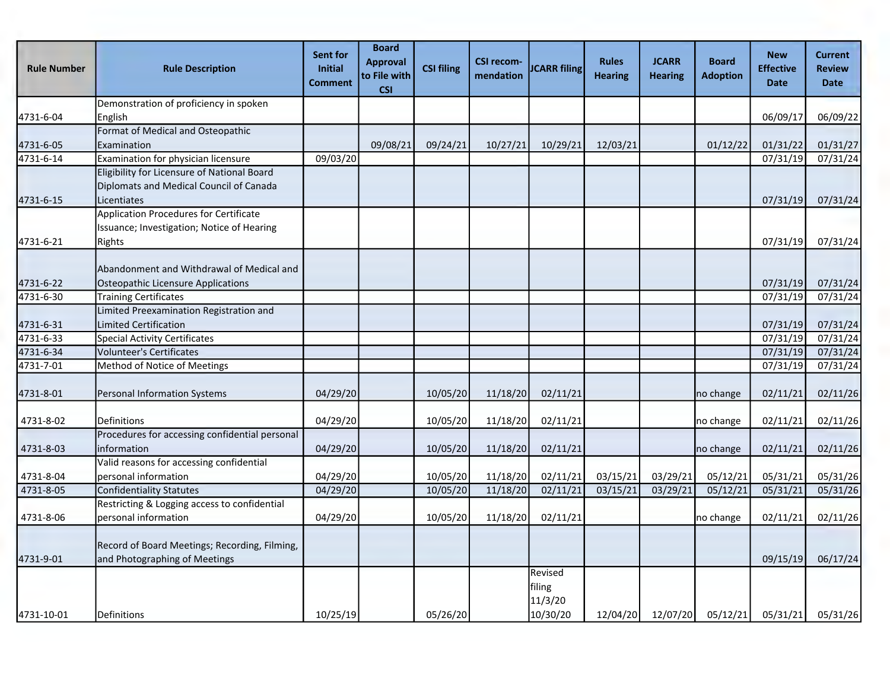| <b>Rule Number</b>      | <b>Rule Description</b>                                                                               | Sent for<br>Initial<br><b>Comment</b> | <b>Board</b><br><b>Approval</b><br>to File with<br><b>CSI</b> | <b>CSI filing</b> | <b>CSI recom-</b><br>mendation | <b>JCARR</b> filing          | <b>Rules</b><br><b>Hearing</b> | <b>JCARR</b><br><b>Hearing</b> | <b>Board</b><br><b>Adoption</b> | <b>New</b><br><b>Effective</b><br><b>Date</b> | <b>Current</b><br><b>Review</b><br><b>Date</b> |
|-------------------------|-------------------------------------------------------------------------------------------------------|---------------------------------------|---------------------------------------------------------------|-------------------|--------------------------------|------------------------------|--------------------------------|--------------------------------|---------------------------------|-----------------------------------------------|------------------------------------------------|
|                         | Demonstration of proficiency in spoken                                                                |                                       |                                                               |                   |                                |                              |                                |                                |                                 |                                               |                                                |
| 4731-6-04               | English                                                                                               |                                       |                                                               |                   |                                |                              |                                |                                |                                 | 06/09/17                                      | 06/09/22                                       |
|                         | Format of Medical and Osteopathic                                                                     |                                       |                                                               |                   |                                |                              |                                |                                |                                 |                                               |                                                |
| 4731-6-05               | Examination                                                                                           |                                       | 09/08/21                                                      | 09/24/21          | 10/27/21                       | 10/29/21                     | 12/03/21                       |                                | 01/12/22                        | 01/31/22                                      | 01/31/27                                       |
| $\overline{4731}$ -6-14 | Examination for physician licensure                                                                   | 09/03/20                              |                                                               |                   |                                |                              |                                |                                |                                 | 07/31/19                                      | 07/31/24                                       |
| 4731-6-15               | Eligibility for Licensure of National Board<br>Diplomats and Medical Council of Canada<br>Licentiates |                                       |                                                               |                   |                                |                              |                                |                                |                                 | 07/31/19                                      | 07/31/24                                       |
|                         | Application Procedures for Certificate                                                                |                                       |                                                               |                   |                                |                              |                                |                                |                                 |                                               |                                                |
| 4731-6-21               | Issuance; Investigation; Notice of Hearing<br>Rights                                                  |                                       |                                                               |                   |                                |                              |                                |                                |                                 | 07/31/19                                      | 07/31/24                                       |
| 4731-6-22               | Abandonment and Withdrawal of Medical and<br>Osteopathic Licensure Applications                       |                                       |                                                               |                   |                                |                              |                                |                                |                                 | 07/31/19                                      | 07/31/24                                       |
| 4731-6-30               | <b>Training Certificates</b>                                                                          |                                       |                                                               |                   |                                |                              |                                |                                |                                 | 07/31/19                                      | 07/31/24                                       |
| 4731-6-31               | Limited Preexamination Registration and<br>Limited Certification                                      |                                       |                                                               |                   |                                |                              |                                |                                |                                 | 07/31/19                                      | 07/31/24                                       |
| 4731-6-33               | Special Activity Certificates                                                                         |                                       |                                                               |                   |                                |                              |                                |                                |                                 | 07/31/19                                      | 07/31/24                                       |
| 4731-6-34               | Volunteer's Certificates                                                                              |                                       |                                                               |                   |                                |                              |                                |                                |                                 | 07/31/19                                      | 07/31/24                                       |
| 4731-7-01               | Method of Notice of Meetings                                                                          |                                       |                                                               |                   |                                |                              |                                |                                |                                 | 07/31/19                                      | 07/31/24                                       |
| 4731-8-01               | Personal Information Systems                                                                          | 04/29/20                              |                                                               | 10/05/20          | 11/18/20                       | 02/11/21                     |                                |                                | no change                       | 02/11/21                                      | 02/11/26                                       |
| 4731-8-02               | Definitions                                                                                           | 04/29/20                              |                                                               | 10/05/20          | 11/18/20                       | 02/11/21                     |                                |                                | no change                       | 02/11/21                                      | 02/11/26                                       |
| 4731-8-03               | Procedures for accessing confidential personal<br>information                                         | 04/29/20                              |                                                               | 10/05/20          | 11/18/20                       | 02/11/21                     |                                |                                | no change                       | 02/11/21                                      | 02/11/26                                       |
| 4731-8-04               | Valid reasons for accessing confidential<br>personal information                                      | 04/29/20                              |                                                               | 10/05/20          | 11/18/20                       | 02/11/21                     | 03/15/21                       | 03/29/21                       | 05/12/21                        | 05/31/21                                      | 05/31/26                                       |
| 4731-8-05               | <b>Confidentiality Statutes</b>                                                                       | 04/29/20                              |                                                               | 10/05/20          | 11/18/20                       | 02/11/21                     | 03/15/21                       | 03/29/21                       | 05/12/21                        | 05/31/21                                      | 05/31/26                                       |
| 4731-8-06               | Restricting & Logging access to confidential<br>personal information                                  | 04/29/20                              |                                                               | 10/05/20          | 11/18/20                       | 02/11/21                     |                                |                                | no change                       | 02/11/21                                      | 02/11/26                                       |
| 4731-9-01               | Record of Board Meetings; Recording, Filming,<br>and Photographing of Meetings                        |                                       |                                                               |                   |                                |                              |                                |                                |                                 | 09/15/19                                      | 06/17/24                                       |
|                         |                                                                                                       |                                       |                                                               |                   |                                | Revised<br>filing<br>11/3/20 |                                |                                |                                 |                                               |                                                |
| 4731-10-01              | Definitions                                                                                           | 10/25/19                              |                                                               | 05/26/20          |                                | 10/30/20                     |                                |                                | 12/04/20 12/07/20 05/12/21      | 05/31/21                                      | 05/31/26                                       |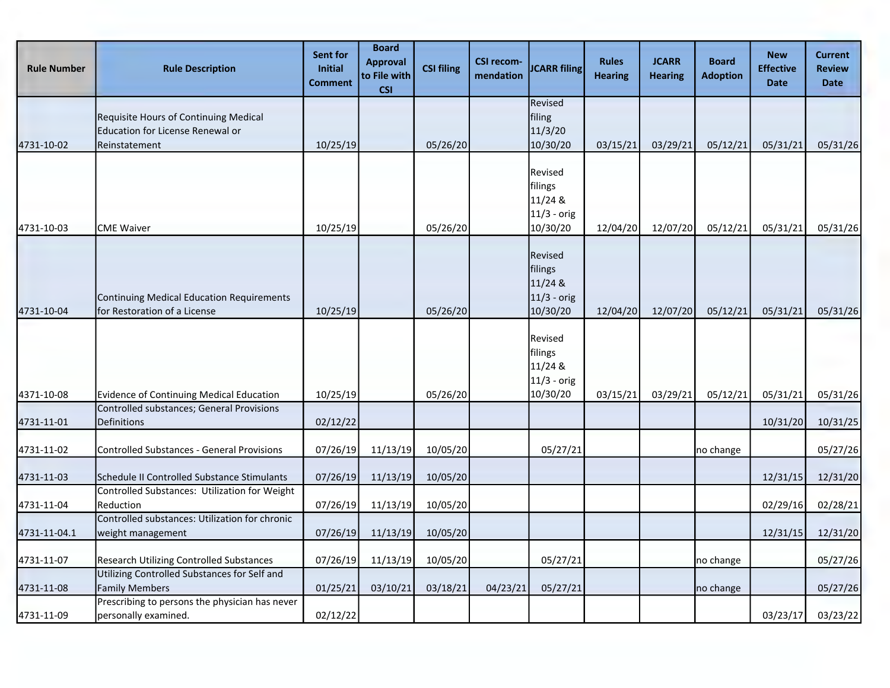| <b>Rule Number</b> | <b>Rule Description</b>                                                                           | Sent for<br>Initial<br><b>Comment</b> | <b>Board</b><br><b>Approval</b><br>to File with<br><b>CSI</b> | <b>CSI filing</b> | <b>CSI recom-</b><br>mendation | <b>JCARR filing</b>                                        | <b>Rules</b><br><b>Hearing</b> | <b>JCARR</b><br><b>Hearing</b> | <b>Board</b><br><b>Adoption</b> | <b>New</b><br><b>Effective</b><br><b>Date</b> | <b>Current</b><br><b>Review</b><br><b>Date</b> |
|--------------------|---------------------------------------------------------------------------------------------------|---------------------------------------|---------------------------------------------------------------|-------------------|--------------------------------|------------------------------------------------------------|--------------------------------|--------------------------------|---------------------------------|-----------------------------------------------|------------------------------------------------|
| 4731-10-02         | Requisite Hours of Continuing Medical<br><b>Education for License Renewal or</b><br>Reinstatement | 10/25/19                              |                                                               | 05/26/20          |                                | Revised<br>filing<br>11/3/20<br>10/30/20                   | 03/15/21                       | 03/29/21                       | 05/12/21                        | 05/31/21                                      | 05/31/26                                       |
| 4731-10-03         | <b>CME Waiver</b>                                                                                 | 10/25/19                              |                                                               | 05/26/20          |                                | Revised<br>filings<br>11/24 &<br>11/3 - orig<br>10/30/20   | 12/04/20                       | 12/07/20                       | 05/12/21                        | 05/31/21                                      | 05/31/26                                       |
| 4731-10-04         | Continuing Medical Education Requirements<br>for Restoration of a License                         | 10/25/19                              |                                                               | 05/26/20          |                                | Revised<br>filings<br>11/24 &<br>$11/3$ - orig<br>10/30/20 | 12/04/20                       | 12/07/20                       | 05/12/21                        | 05/31/21                                      | 05/31/26                                       |
| 4371-10-08         | Evidence of Continuing Medical Education                                                          | 10/25/19                              |                                                               | 05/26/20          |                                | Revised<br>filings<br>11/24 &<br>$11/3$ - orig<br>10/30/20 | 03/15/21                       | 03/29/21                       | 05/12/21                        | 05/31/21                                      | 05/31/26                                       |
| 4731-11-01         | Controlled substances; General Provisions<br>Definitions                                          | 02/12/22                              |                                                               |                   |                                |                                                            |                                |                                |                                 | 10/31/20                                      | 10/31/25                                       |
| 4731-11-02         | <b>Controlled Substances - General Provisions</b>                                                 | 07/26/19                              | 11/13/19                                                      | 10/05/20          |                                | 05/27/21                                                   |                                |                                | no change                       |                                               | 05/27/26                                       |
| 4731-11-03         | Schedule II Controlled Substance Stimulants                                                       | 07/26/19                              | 11/13/19                                                      | 10/05/20          |                                |                                                            |                                |                                |                                 | 12/31/15                                      | 12/31/20                                       |
| 4731-11-04         | Controlled Substances: Utilization for Weight<br>Reduction                                        | 07/26/19                              | 11/13/19                                                      | 10/05/20          |                                |                                                            |                                |                                |                                 | 02/29/16                                      | 02/28/21                                       |
| 4731-11-04.1       | Controlled substances: Utilization for chronic<br>weight management                               | 07/26/19                              | 11/13/19                                                      | 10/05/20          |                                |                                                            |                                |                                |                                 | 12/31/15                                      | 12/31/20                                       |
| 4731-11-07         | <b>Research Utilizing Controlled Substances</b><br>Utilizing Controlled Substances for Self and   | 07/26/19                              | 11/13/19                                                      | 10/05/20          |                                | 05/27/21                                                   |                                |                                | no change                       |                                               | 05/27/26                                       |
| 4731-11-08         | <b>Family Members</b><br>Prescribing to persons the physician has never                           | 01/25/21                              | 03/10/21                                                      | 03/18/21          | 04/23/21                       | 05/27/21                                                   |                                |                                | no change                       |                                               | 05/27/26                                       |
| 4731-11-09         | personally examined.                                                                              | 02/12/22                              |                                                               |                   |                                |                                                            |                                |                                |                                 | 03/23/17                                      | 03/23/22                                       |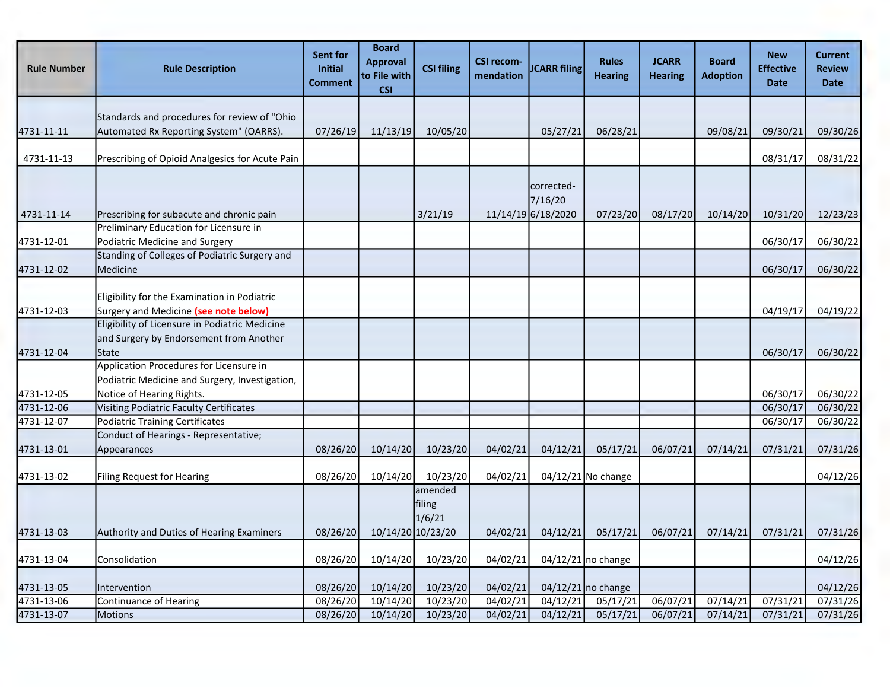| <b>Rule Number</b> | <b>Rule Description</b>                                                                                                   | Sent for<br><b>Initial</b><br><b>Comment</b> | <b>Board</b><br><b>Approval</b><br>to File with<br><b>CSI</b> | <b>CSI filing</b>           | <b>CSI recom-</b><br>mendation | <b>JCARR filing</b>                         | <b>Rules</b><br><b>Hearing</b> | <b>JCARR</b><br><b>Hearing</b> | <b>Board</b><br><b>Adoption</b> | <b>New</b><br><b>Effective</b><br><b>Date</b> | Current<br><b>Review</b><br><b>Date</b> |
|--------------------|---------------------------------------------------------------------------------------------------------------------------|----------------------------------------------|---------------------------------------------------------------|-----------------------------|--------------------------------|---------------------------------------------|--------------------------------|--------------------------------|---------------------------------|-----------------------------------------------|-----------------------------------------|
| 4731-11-11         | Standards and procedures for review of "Ohio<br>Automated Rx Reporting System" (OARRS).                                   | 07/26/19                                     | 11/13/19                                                      | 10/05/20                    |                                | 05/27/21                                    | 06/28/21                       |                                | 09/08/21                        | 09/30/21                                      | 09/30/26                                |
| 4731-11-13         | Prescribing of Opioid Analgesics for Acute Pain                                                                           |                                              |                                                               |                             |                                |                                             |                                |                                |                                 | 08/31/17                                      | 08/31/22                                |
| 4731-11-14         | Prescribing for subacute and chronic pain                                                                                 |                                              |                                                               | 3/21/19                     |                                | corrected-<br>7/16/20<br>11/14/19 6/18/2020 | 07/23/20                       | 08/17/20                       | 10/14/20                        | 10/31/20                                      | 12/23/23                                |
| 4731-12-01         | Preliminary Education for Licensure in<br>Podiatric Medicine and Surgery<br>Standing of Colleges of Podiatric Surgery and |                                              |                                                               |                             |                                |                                             |                                |                                |                                 | 06/30/17                                      | 06/30/22                                |
| 4731-12-02         | Medicine                                                                                                                  |                                              |                                                               |                             |                                |                                             |                                |                                |                                 | 06/30/17                                      | 06/30/22                                |
| 4731-12-03         | Eligibility for the Examination in Podiatric<br>Surgery and Medicine (see note below)                                     |                                              |                                                               |                             |                                |                                             |                                |                                |                                 | 04/19/17                                      | 04/19/22                                |
| 4731-12-04         | Eligibility of Licensure in Podiatric Medicine<br>and Surgery by Endorsement from Another<br>State                        |                                              |                                                               |                             |                                |                                             |                                |                                |                                 | 06/30/17                                      | 06/30/22                                |
| 4731-12-05         | Application Procedures for Licensure in<br>Podiatric Medicine and Surgery, Investigation,<br>Notice of Hearing Rights.    |                                              |                                                               |                             |                                |                                             |                                |                                |                                 | 06/30/17                                      | 06/30/22                                |
| 4731-12-06         | <b>Visiting Podiatric Faculty Certificates</b>                                                                            |                                              |                                                               |                             |                                |                                             |                                |                                |                                 | 06/30/17                                      | 06/30/22                                |
| 4731-12-07         | <b>Podiatric Training Certificates</b>                                                                                    |                                              |                                                               |                             |                                |                                             |                                |                                |                                 | 06/30/17                                      | 06/30/22                                |
| 4731-13-01         | Conduct of Hearings - Representative;<br>Appearances                                                                      | 08/26/20                                     | 10/14/20                                                      | 10/23/20                    | 04/02/21                       | 04/12/21                                    | 05/17/21                       | 06/07/21                       | 07/14/21                        | 07/31/21                                      | 07/31/26                                |
| 4731-13-02         | <b>Filing Request for Hearing</b>                                                                                         | 08/26/20                                     | 10/14/20                                                      | 10/23/20                    | 04/02/21                       |                                             | 04/12/21 No change             |                                |                                 |                                               | 04/12/26                                |
|                    |                                                                                                                           |                                              |                                                               | amended<br>filing<br>1/6/21 |                                |                                             |                                |                                |                                 |                                               |                                         |
| 4731-13-03         | <b>Authority and Duties of Hearing Examiners</b>                                                                          | 08/26/20                                     | 10/14/20 10/23/20                                             |                             | 04/02/21                       | 04/12/21                                    | 05/17/21                       | 06/07/21                       | 07/14/21                        | 07/31/21                                      | 07/31/26                                |
| 4731-13-04         | Consolidation                                                                                                             | 08/26/20                                     | 10/14/20                                                      | 10/23/20                    | 04/02/21                       |                                             | 04/12/21 no change             |                                |                                 |                                               | 04/12/26                                |
| 4731-13-05         | Intervention                                                                                                              | 08/26/20                                     | 10/14/20                                                      | 10/23/20                    | 04/02/21                       |                                             | 04/12/21 no change             |                                |                                 |                                               | 04/12/26                                |
| 4731-13-06         | Continuance of Hearing                                                                                                    | 08/26/20                                     | 10/14/20                                                      | 10/23/20                    | 04/02/21                       | 04/12/21                                    | 05/17/21                       | 06/07/21                       | 07/14/21                        | 07/31/21                                      | 07/31/26                                |
| 4731-13-07         | <b>Motions</b>                                                                                                            | 08/26/20                                     | 10/14/20                                                      | 10/23/20                    | 04/02/21                       | 04/12/21                                    | 05/17/21                       | 06/07/21                       | 07/14/21                        | 07/31/21                                      | 07/31/26                                |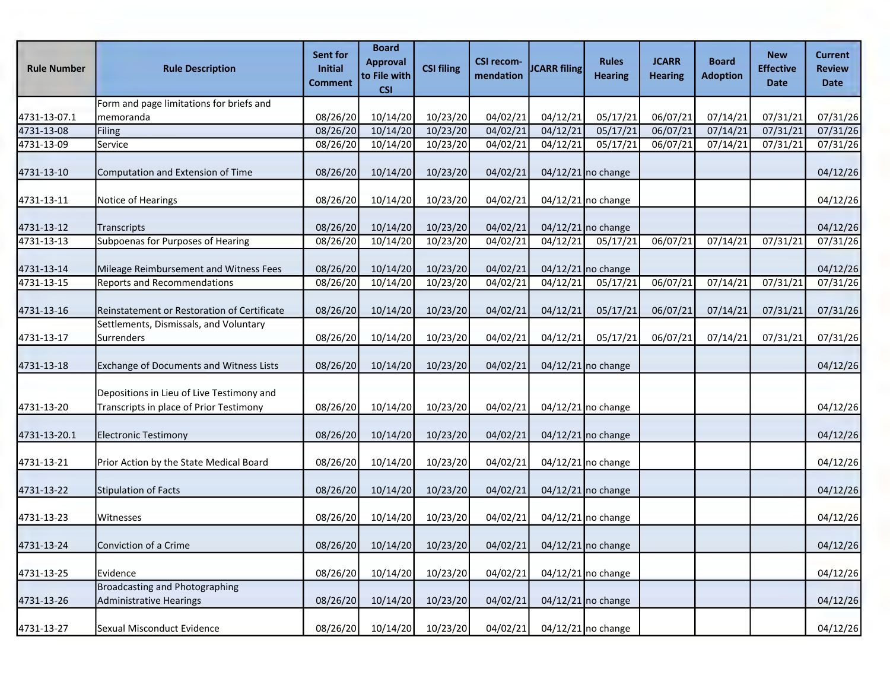| <b>Rule Number</b> | <b>Rule Description</b>                                                              | Sent for<br>Initial<br>Comment | <b>Board</b><br><b>Approval</b><br>to File with<br><b>CSI</b> | <b>CSI filing</b> | <b>CSI recom-</b><br>mendation | <b>JCARR filing</b> | <b>Rules</b><br><b>Hearing</b> | <b>JCARR</b><br><b>Hearing</b> | <b>Board</b><br><b>Adoption</b> | <b>New</b><br><b>Effective</b><br><b>Date</b> | <b>Current</b><br><b>Review</b><br><b>Date</b> |
|--------------------|--------------------------------------------------------------------------------------|--------------------------------|---------------------------------------------------------------|-------------------|--------------------------------|---------------------|--------------------------------|--------------------------------|---------------------------------|-----------------------------------------------|------------------------------------------------|
|                    | Form and page limitations for briefs and                                             |                                |                                                               |                   |                                |                     |                                |                                |                                 |                                               |                                                |
| 4731-13-07.1       | Imemoranda                                                                           | 08/26/20                       | 10/14/20                                                      | 10/23/20          | 04/02/21                       | 04/12/21            | 05/17/21                       | 06/07/21                       | 07/14/21                        | 07/31/21                                      | 07/31/26                                       |
| 4731-13-08         | Filing                                                                               | 08/26/20                       | 10/14/20                                                      | 10/23/20          | 04/02/21                       | 04/12/21            | 05/17/21                       | 06/07/21                       | 07/14/21                        | 07/31/21                                      | 07/31/26                                       |
| 4731-13-09         | Service                                                                              | 08/26/20                       | 10/14/20                                                      | 10/23/20          | 04/02/21                       | 04/12/21            | 05/17/21                       | 06/07/21                       | 07/14/21                        | 07/31/21                                      | 07/31/26                                       |
| 4731-13-10         | Computation and Extension of Time                                                    | 08/26/20                       | 10/14/20                                                      | 10/23/20          | 04/02/21                       |                     | $04/12/21$ no change           |                                |                                 |                                               | 04/12/26                                       |
| 4731-13-11         | Notice of Hearings                                                                   | 08/26/20                       | 10/14/20                                                      | 10/23/20          | 04/02/21                       |                     | 04/12/21 no change             |                                |                                 |                                               | 04/12/26                                       |
| 4731-13-12         | Transcripts                                                                          | 08/26/20                       | 10/14/20                                                      | 10/23/20          | 04/02/21                       |                     | $04/12/21$ no change           |                                |                                 |                                               | 04/12/26                                       |
| 4731-13-13         | Subpoenas for Purposes of Hearing                                                    | 08/26/20                       | 10/14/20                                                      | 10/23/20          | 04/02/21                       | 04/12/21            | 05/17/21                       | 06/07/21                       | $\frac{1}{07}{\frac{14}{21}}$   | 07/31/21                                      | 07/31/26                                       |
| 4731-13-14         | Mileage Reimbursement and Witness Fees                                               | 08/26/20                       | 10/14/20                                                      | 10/23/20          | 04/02/21                       |                     | $04/12/21$ no change           |                                |                                 |                                               | 04/12/26                                       |
| 4731-13-15         | <b>Reports and Recommendations</b>                                                   | 08/26/20                       | 10/14/20                                                      | 10/23/20          | 04/02/21                       | 04/12/21            | 05/17/21                       | 06/07/21                       | 07/14/21                        | 07/31/21                                      | 07/31/26                                       |
| 4731-13-16         | Reinstatement or Restoration of Certificate                                          | 08/26/20                       | 10/14/20                                                      | 10/23/20          | 04/02/21                       | 04/12/21            | 05/17/21                       | 06/07/21                       | 07/14/21                        | 07/31/21                                      | 07/31/26                                       |
| 4731-13-17         | Settlements, Dismissals, and Voluntary<br><b>Surrenders</b>                          | 08/26/20                       | 10/14/20                                                      | 10/23/20          | 04/02/21                       | 04/12/21            | 05/17/21                       | 06/07/21                       | 07/14/21                        | 07/31/21                                      | 07/31/26                                       |
| 4731-13-18         | Exchange of Documents and Witness Lists                                              | 08/26/20                       | 10/14/20                                                      | 10/23/20          | 04/02/21                       |                     | $04/12/21$ no change           |                                |                                 |                                               | 04/12/26                                       |
| 4731-13-20         | Depositions in Lieu of Live Testimony and<br>Transcripts in place of Prior Testimony | 08/26/20                       | 10/14/20                                                      | 10/23/20          | 04/02/21                       |                     | 04/12/21 no change             |                                |                                 |                                               | 04/12/26                                       |
| 4731-13-20.1       | <b>Electronic Testimony</b>                                                          | 08/26/20                       | 10/14/20                                                      | 10/23/20          | 04/02/21                       |                     | $04/12/21$ no change           |                                |                                 |                                               | 04/12/26                                       |
| 4731-13-21         | Prior Action by the State Medical Board                                              | 08/26/20                       | 10/14/20                                                      | 10/23/20          | 04/02/21                       |                     | 04/12/21 no change             |                                |                                 |                                               | 04/12/26                                       |
| 4731-13-22         | Stipulation of Facts                                                                 | 08/26/20                       | 10/14/20                                                      | 10/23/20          | 04/02/21                       |                     | $04/12/21$ no change           |                                |                                 |                                               | 04/12/26                                       |
| 4731-13-23         | Witnesses                                                                            | 08/26/20                       | 10/14/20                                                      | 10/23/20          | 04/02/21                       |                     | $04/12/21$ no change           |                                |                                 |                                               | 04/12/26                                       |
| 4731-13-24         | Conviction of a Crime                                                                | 08/26/20                       | 10/14/20                                                      | 10/23/20          | 04/02/21                       |                     | 04/12/21 no change             |                                |                                 |                                               | 04/12/26                                       |
| 4731-13-25         | Evidence                                                                             | 08/26/20                       | 10/14/20                                                      | 10/23/20          | 04/02/21                       |                     | $04/12/21$ no change           |                                |                                 |                                               | 04/12/26                                       |
| 4731-13-26         | Broadcasting and Photographing<br>Administrative Hearings                            | 08/26/20                       | 10/14/20                                                      | 10/23/20          | 04/02/21                       |                     | $04/12/21$ no change           |                                |                                 |                                               | 04/12/26                                       |
| 4731-13-27         | Sexual Misconduct Evidence                                                           | 08/26/20                       | 10/14/20                                                      | 10/23/20          | 04/02/21                       |                     | $04/12/21$ no change           |                                |                                 |                                               | 04/12/26                                       |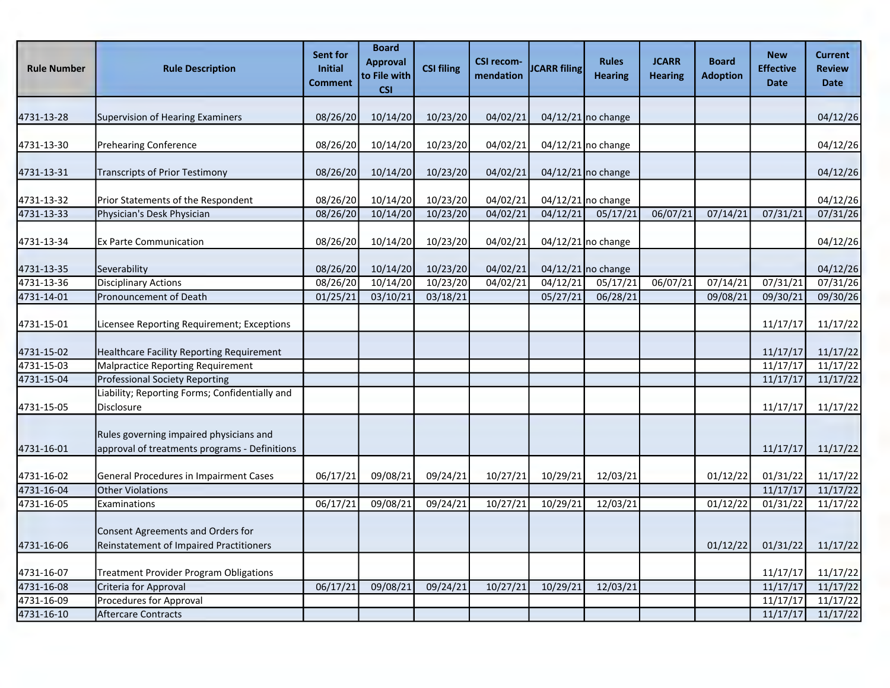| <b>Rule Number</b> | <b>Rule Description</b>                                                                  | Sent for<br><b>Initial</b><br><b>Comment</b> | <b>Board</b><br><b>Approval</b><br>to File with<br><b>CSI</b> | <b>CSI filing</b> | <b>CSI recom-</b><br>mendation | <b>JCARR filing</b> | <b>Rules</b><br><b>Hearing</b> | <b>JCARR</b><br><b>Hearing</b> | <b>Board</b><br><b>Adoption</b> | <b>New</b><br><b>Effective</b><br><b>Date</b> | <b>Current</b><br><b>Review</b><br><b>Date</b> |
|--------------------|------------------------------------------------------------------------------------------|----------------------------------------------|---------------------------------------------------------------|-------------------|--------------------------------|---------------------|--------------------------------|--------------------------------|---------------------------------|-----------------------------------------------|------------------------------------------------|
| 4731-13-28         | <b>Supervision of Hearing Examiners</b>                                                  | 08/26/20                                     | 10/14/20                                                      | 10/23/20          | 04/02/21                       |                     | $04/12/21$ no change           |                                |                                 |                                               | 04/12/26                                       |
| 4731-13-30         | <b>Prehearing Conference</b>                                                             | 08/26/20                                     | 10/14/20                                                      | 10/23/20          | 04/02/21                       |                     | 04/12/21 no change             |                                |                                 |                                               | 04/12/26                                       |
| 4731-13-31         | Transcripts of Prior Testimony                                                           | 08/26/20                                     | 10/14/20                                                      | 10/23/20          | 04/02/21                       |                     | $04/12/21$ no change           |                                |                                 |                                               | 04/12/26                                       |
| 4731-13-32         | Prior Statements of the Respondent                                                       | 08/26/20                                     | 10/14/20                                                      | 10/23/20          | 04/02/21                       |                     | 04/12/21 no change             |                                |                                 |                                               | 04/12/26                                       |
| 4731-13-33         | Physician's Desk Physician                                                               | 08/26/20                                     | 10/14/20                                                      | 10/23/20          | 04/02/21                       | 04/12/21            | 05/17/21                       | 06/07/21                       | 07/14/21                        | 07/31/21                                      | 07/31/26                                       |
| 4731-13-34         | <b>Ex Parte Communication</b>                                                            | 08/26/20                                     | 10/14/20                                                      | 10/23/20          | 04/02/21                       |                     | 04/12/21 no change             |                                |                                 |                                               | 04/12/26                                       |
| 4731-13-35         | Severability                                                                             | 08/26/20                                     | 10/14/20                                                      | 10/23/20          | 04/02/21                       |                     | $04/12/21$ no change           |                                |                                 |                                               | 04/12/26                                       |
| 4731-13-36         | <b>Disciplinary Actions</b>                                                              | 08/26/20                                     | 10/14/20                                                      | 10/23/20          | 04/02/21                       | 04/12/21            | 05/17/21                       | 06/07/21                       | 07/14/21                        | 07/31/21                                      | 07/31/26                                       |
| 4731-14-01         | Pronouncement of Death                                                                   | 01/25/21                                     | 03/10/21                                                      | 03/18/21          |                                | 05/27/21            | 06/28/21                       |                                | 09/08/21                        | 09/30/21                                      | 09/30/26                                       |
| 4731-15-01         | Licensee Reporting Requirement; Exceptions                                               |                                              |                                                               |                   |                                |                     |                                |                                |                                 | 11/17/17                                      | 11/17/22                                       |
| 4731-15-02         | Healthcare Facility Reporting Requirement                                                |                                              |                                                               |                   |                                |                     |                                |                                |                                 | 11/17/17                                      | 11/17/22                                       |
| 4731-15-03         | Malpractice Reporting Requirement                                                        |                                              |                                                               |                   |                                |                     |                                |                                |                                 | 11/17/17                                      | 11/17/22                                       |
| 4731-15-04         | <b>Professional Society Reporting</b>                                                    |                                              |                                                               |                   |                                |                     |                                |                                |                                 | 11/17/17                                      | 11/17/22                                       |
| 4731-15-05         | Liability; Reporting Forms; Confidentially and<br><b>Disclosure</b>                      |                                              |                                                               |                   |                                |                     |                                |                                |                                 | 11/17/17                                      | 11/17/22                                       |
| 4731-16-01         | Rules governing impaired physicians and<br>approval of treatments programs - Definitions |                                              |                                                               |                   |                                |                     |                                |                                |                                 | 11/17/17                                      | 11/17/22                                       |
| 4731-16-02         | General Procedures in Impairment Cases                                                   | 06/17/21                                     | 09/08/21                                                      | 09/24/21          | 10/27/21                       | 10/29/21            | 12/03/21                       |                                | 01/12/22                        | 01/31/22                                      | 11/17/22                                       |
| 4731-16-04         | <b>Other Violations</b>                                                                  |                                              |                                                               |                   |                                |                     |                                |                                |                                 | 11/17/17                                      | 11/17/22                                       |
| 4731-16-05         | Examinations                                                                             | 06/17/21                                     | 09/08/21                                                      | 09/24/21          | 10/27/21                       | 10/29/21            | 12/03/21                       |                                | 01/12/22                        | 01/31/22                                      | 11/17/22                                       |
| 4731-16-06         | Consent Agreements and Orders for<br><b>Reinstatement of Impaired Practitioners</b>      |                                              |                                                               |                   |                                |                     |                                |                                | 01/12/22                        | 01/31/22                                      | 11/17/22                                       |
| 4731-16-07         | <b>Treatment Provider Program Obligations</b>                                            |                                              |                                                               |                   |                                |                     |                                |                                |                                 | 11/17/17                                      | 11/17/22                                       |
| 4731-16-08         | Criteria for Approval                                                                    | 06/17/21                                     | 09/08/21                                                      | 09/24/21          | 10/27/21                       | 10/29/21            | 12/03/21                       |                                |                                 | 11/17/17                                      | 11/17/22                                       |
| 4731-16-09         | <b>Procedures for Approval</b>                                                           |                                              |                                                               |                   |                                |                     |                                |                                |                                 | 11/17/17                                      | 11/17/22                                       |
| 4731-16-10         | Aftercare Contracts                                                                      |                                              |                                                               |                   |                                |                     |                                |                                |                                 | 11/17/17                                      | 11/17/22                                       |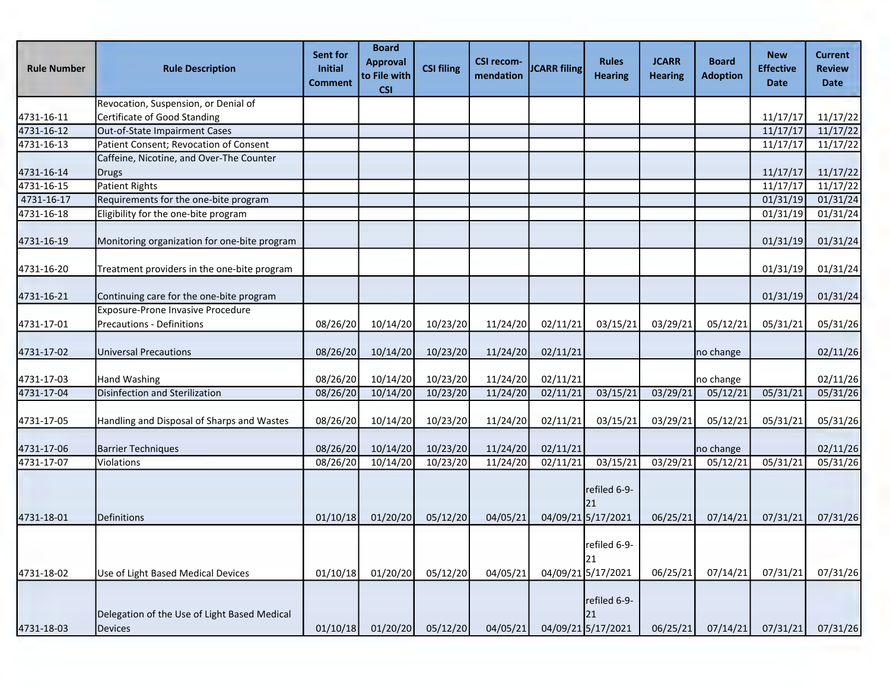| <b>Rule Number</b> | <b>Rule Description</b>                                 | Sent for<br>Initial<br>Comment | <b>Board</b><br><b>Approval</b><br>to File with<br><b>CSI</b> | <b>CSI filing</b> | <b>CSI recom-</b><br>mendation | <b>JCARR filing</b> | <b>Rules</b><br><b>Hearing</b>           | <b>JCARR</b><br><b>Hearing</b> | <b>Board</b><br><b>Adoption</b> | <b>New</b><br><b>Effective</b><br><b>Date</b> | <b>Current</b><br><b>Review</b><br><b>Date</b> |
|--------------------|---------------------------------------------------------|--------------------------------|---------------------------------------------------------------|-------------------|--------------------------------|---------------------|------------------------------------------|--------------------------------|---------------------------------|-----------------------------------------------|------------------------------------------------|
|                    | Revocation, Suspension, or Denial of                    |                                |                                                               |                   |                                |                     |                                          |                                |                                 |                                               |                                                |
| 4731-16-11         | Certificate of Good Standing                            |                                |                                                               |                   |                                |                     |                                          |                                |                                 | 11/17/17                                      | 11/17/22                                       |
| 4731-16-12         | Out-of-State Impairment Cases                           |                                |                                                               |                   |                                |                     |                                          |                                |                                 | 11/17/17                                      | 11/17/22                                       |
| 4731-16-13         | Patient Consent; Revocation of Consent                  |                                |                                                               |                   |                                |                     |                                          |                                |                                 | 11/17/17                                      | 11/17/22                                       |
|                    | Caffeine, Nicotine, and Over-The Counter                |                                |                                                               |                   |                                |                     |                                          |                                |                                 |                                               |                                                |
| 4731-16-14         | Drugs                                                   |                                |                                                               |                   |                                |                     |                                          |                                |                                 | 11/17/17                                      | 11/17/22                                       |
| 4731-16-15         | Patient Rights                                          |                                |                                                               |                   |                                |                     |                                          |                                |                                 | 11/17/17                                      | 11/17/22                                       |
| 4731-16-17         | Requirements for the one-bite program                   |                                |                                                               |                   |                                |                     |                                          |                                |                                 | 01/31/19                                      | 01/31/24                                       |
| 4731-16-18         | Eligibility for the one-bite program                    |                                |                                                               |                   |                                |                     |                                          |                                |                                 | 01/31/19                                      | 01/31/24                                       |
| 4731-16-19         | Monitoring organization for one-bite program            |                                |                                                               |                   |                                |                     |                                          |                                |                                 | 01/31/19                                      | 01/31/24                                       |
| 4731-16-20         | Treatment providers in the one-bite program             |                                |                                                               |                   |                                |                     |                                          |                                |                                 | 01/31/19                                      | 01/31/24                                       |
| 4731-16-21         | Continuing care for the one-bite program                |                                |                                                               |                   |                                |                     |                                          |                                |                                 | 01/31/19                                      | 01/31/24                                       |
|                    | Exposure-Prone Invasive Procedure                       |                                |                                                               |                   |                                |                     |                                          |                                |                                 |                                               |                                                |
| 4731-17-01         | Precautions - Definitions                               | 08/26/20                       | 10/14/20                                                      | 10/23/20          | 11/24/20                       | 02/11/21            | 03/15/21                                 | 03/29/21                       | 05/12/21                        | 05/31/21                                      | 05/31/26                                       |
| 4731-17-02         | Universal Precautions                                   | 08/26/20                       | 10/14/20                                                      | 10/23/20          | 11/24/20                       | 02/11/21            |                                          |                                | no change                       |                                               | 02/11/26                                       |
| 4731-17-03         | Hand Washing                                            | 08/26/20                       | 10/14/20                                                      | 10/23/20          | 11/24/20                       | 02/11/21            |                                          |                                | no change                       |                                               | 02/11/26                                       |
| 4731-17-04         | Disinfection and Sterilization                          | 08/26/20                       | 10/14/20                                                      | 10/23/20          | 11/24/20                       | 02/11/21            | 03/15/21                                 | 03/29/21                       | 05/12/21                        | 05/31/21                                      | 05/31/26                                       |
| 4731-17-05         | Handling and Disposal of Sharps and Wastes              | 08/26/20                       | 10/14/20                                                      | 10/23/20          | 11/24/20                       | 02/11/21            | 03/15/21                                 | 03/29/21                       | 05/12/21                        | 05/31/21                                      | 05/31/26                                       |
| 4731-17-06         | <b>Barrier Techniques</b>                               | 08/26/20                       | 10/14/20                                                      | 10/23/20          | 11/24/20                       | 02/11/21            |                                          |                                | no change                       |                                               | 02/11/26                                       |
| 4731-17-07         | Violations                                              | 08/26/20                       | 10/14/20                                                      | 10/23/20          | 11/24/20                       | 02/11/21            | 03/15/21                                 | 03/29/21                       | 05/12/21                        | 05/31/21                                      | 05/31/26                                       |
| 4731-18-01         | <b>Definitions</b>                                      | 01/10/18                       | 01/20/20                                                      | 05/12/20          | 04/05/21                       |                     | refiled 6-9-<br>21<br>04/09/21 5/17/2021 | 06/25/21                       | 07/14/21                        | 07/31/21                                      | 07/31/26                                       |
| 4731-18-02         | Use of Light Based Medical Devices                      | 01/10/18                       | 01/20/20                                                      | 05/12/20          | 04/05/21                       |                     | refiled 6-9-<br>21<br>04/09/21 5/17/2021 | 06/25/21                       | 07/14/21                        | 07/31/21                                      | 07/31/26                                       |
| 4731-18-03         | Delegation of the Use of Light Based Medical<br>Devices | 01/10/18                       | 01/20/20                                                      | 05/12/20          | 04/05/21                       |                     | refiled 6-9-<br>21<br>04/09/21 5/17/2021 | 06/25/21                       | 07/14/21                        | 07/31/21                                      | 07/31/26                                       |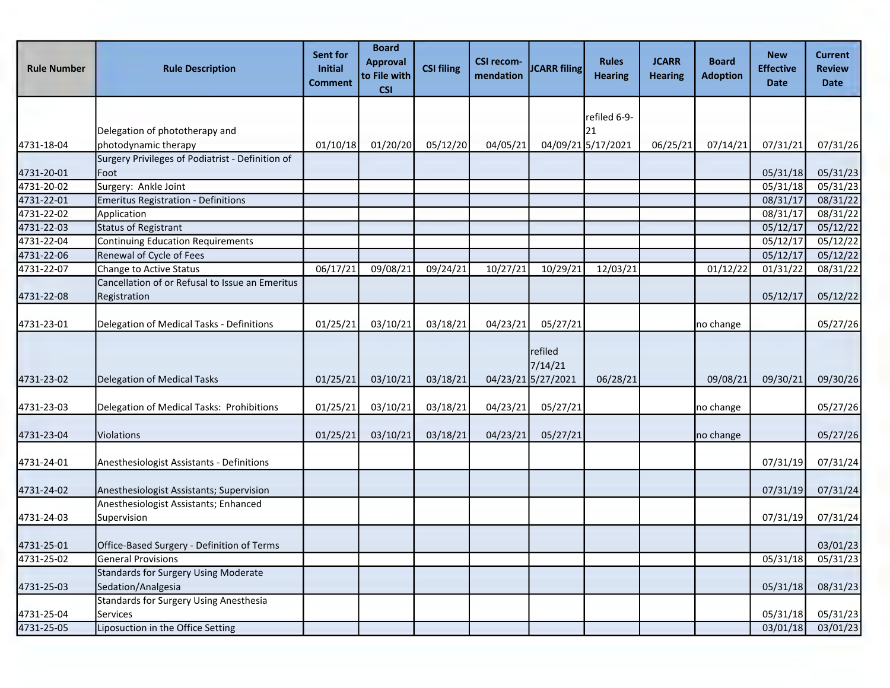| <b>Rule Number</b> | <b>Rule Description</b>                                           | Sent for<br><b>Initial</b><br><b>Comment</b> | <b>Board</b><br><b>Approval</b><br>to File with<br><b>CSI</b> | <b>CSI filing</b> | <b>CSI recom-</b><br>mendation | <b>JCARR filing</b>                      | <b>Rules</b><br><b>Hearing</b> | <b>JCARR</b><br><b>Hearing</b> | <b>Board</b><br><b>Adoption</b> | <b>New</b><br><b>Effective</b><br><b>Date</b> | <b>Current</b><br><b>Review</b><br><b>Date</b> |
|--------------------|-------------------------------------------------------------------|----------------------------------------------|---------------------------------------------------------------|-------------------|--------------------------------|------------------------------------------|--------------------------------|--------------------------------|---------------------------------|-----------------------------------------------|------------------------------------------------|
|                    |                                                                   |                                              |                                                               |                   |                                |                                          |                                |                                |                                 |                                               |                                                |
|                    | Delegation of phototherapy and                                    |                                              |                                                               |                   |                                |                                          | refiled 6-9-<br>21             |                                |                                 |                                               |                                                |
| 4731-18-04         | photodynamic therapy                                              | 01/10/18                                     | 01/20/20                                                      | 05/12/20          | 04/05/21                       |                                          | 04/09/21 5/17/2021             | 06/25/21                       | 07/14/21                        | 07/31/21                                      | 07/31/26                                       |
|                    | Surgery Privileges of Podiatrist - Definition of                  |                                              |                                                               |                   |                                |                                          |                                |                                |                                 |                                               |                                                |
| 4731-20-01         | Foot                                                              |                                              |                                                               |                   |                                |                                          |                                |                                |                                 | 05/31/18                                      | 05/31/23                                       |
| 4731-20-02         | Surgery: Ankle Joint                                              |                                              |                                                               |                   |                                |                                          |                                |                                |                                 | 05/31/18                                      | 05/31/23                                       |
| 4731-22-01         | <b>Emeritus Registration - Definitions</b>                        |                                              |                                                               |                   |                                |                                          |                                |                                |                                 | 08/31/17                                      | 08/31/22                                       |
| 4731-22-02         | Application                                                       |                                              |                                                               |                   |                                |                                          |                                |                                |                                 | 08/31/17                                      | 08/31/22                                       |
| 4731-22-03         | <b>Status of Registrant</b>                                       |                                              |                                                               |                   |                                |                                          |                                |                                |                                 | 05/12/17                                      | 05/12/22                                       |
| 4731-22-04         | <b>Continuing Education Requirements</b>                          |                                              |                                                               |                   |                                |                                          |                                |                                |                                 | 05/12/17                                      | 05/12/22                                       |
| 4731-22-06         | Renewal of Cycle of Fees                                          |                                              |                                                               |                   |                                |                                          |                                |                                |                                 | 05/12/17                                      | 05/12/22                                       |
| 4731-22-07         | Change to Active Status                                           | 06/17/21                                     | 09/08/21                                                      | 09/24/21          | 10/27/21                       | 10/29/21                                 | 12/03/21                       |                                | 01/12/22                        | 01/31/22                                      | 08/31/22                                       |
|                    | Cancellation of or Refusal to Issue an Emeritus                   |                                              |                                                               |                   |                                |                                          |                                |                                |                                 |                                               |                                                |
| 4731-22-08         | Registration                                                      |                                              |                                                               |                   |                                |                                          |                                |                                |                                 | 05/12/17                                      | 05/12/22                                       |
| 4731-23-01         | Delegation of Medical Tasks - Definitions                         | 01/25/21                                     | 03/10/21                                                      | 03/18/21          | 04/23/21                       | 05/27/21                                 |                                |                                | no change                       |                                               | 05/27/26                                       |
| 4731-23-02         | Delegation of Medical Tasks                                       | 01/25/21                                     | 03/10/21                                                      | 03/18/21          |                                | refiled<br>7/14/21<br>04/23/21 5/27/2021 | 06/28/21                       |                                | 09/08/21                        | 09/30/21                                      | 09/30/26                                       |
|                    |                                                                   |                                              |                                                               |                   |                                |                                          |                                |                                |                                 |                                               |                                                |
| 4731-23-03         | Delegation of Medical Tasks: Prohibitions                         | 01/25/21                                     | 03/10/21                                                      | 03/18/21          | 04/23/21                       | 05/27/21                                 |                                |                                | no change                       |                                               | 05/27/26                                       |
| 4731-23-04         | <b>Violations</b>                                                 | 01/25/21                                     | 03/10/21                                                      | 03/18/21          | 04/23/21                       | 05/27/21                                 |                                |                                | no change                       |                                               | 05/27/26                                       |
| 4731-24-01         | Anesthesiologist Assistants - Definitions                         |                                              |                                                               |                   |                                |                                          |                                |                                |                                 | 07/31/19                                      | 07/31/24                                       |
| 4731-24-02         | Anesthesiologist Assistants; Supervision                          |                                              |                                                               |                   |                                |                                          |                                |                                |                                 | 07/31/19                                      | 07/31/24                                       |
| 4731-24-03         | Anesthesiologist Assistants; Enhanced<br>Supervision              |                                              |                                                               |                   |                                |                                          |                                |                                |                                 | 07/31/19                                      | 07/31/24                                       |
|                    |                                                                   |                                              |                                                               |                   |                                |                                          |                                |                                |                                 |                                               |                                                |
| 4731-25-01         | Office-Based Surgery - Definition of Terms                        |                                              |                                                               |                   |                                |                                          |                                |                                |                                 |                                               | 03/01/23                                       |
| 4731-25-02         | <b>General Provisions</b>                                         |                                              |                                                               |                   |                                |                                          |                                |                                |                                 | 05/31/18                                      | 05/31/23                                       |
| 4731-25-03         | <b>Standards for Surgery Using Moderate</b><br>Sedation/Analgesia |                                              |                                                               |                   |                                |                                          |                                |                                |                                 | 05/31/18                                      | 08/31/23                                       |
| 4731-25-04         | Standards for Surgery Using Anesthesia<br>Services                |                                              |                                                               |                   |                                |                                          |                                |                                |                                 | 05/31/18                                      | 05/31/23                                       |
| 4731-25-05         | Liposuction in the Office Setting                                 |                                              |                                                               |                   |                                |                                          |                                |                                |                                 | 03/01/18                                      | 03/01/23                                       |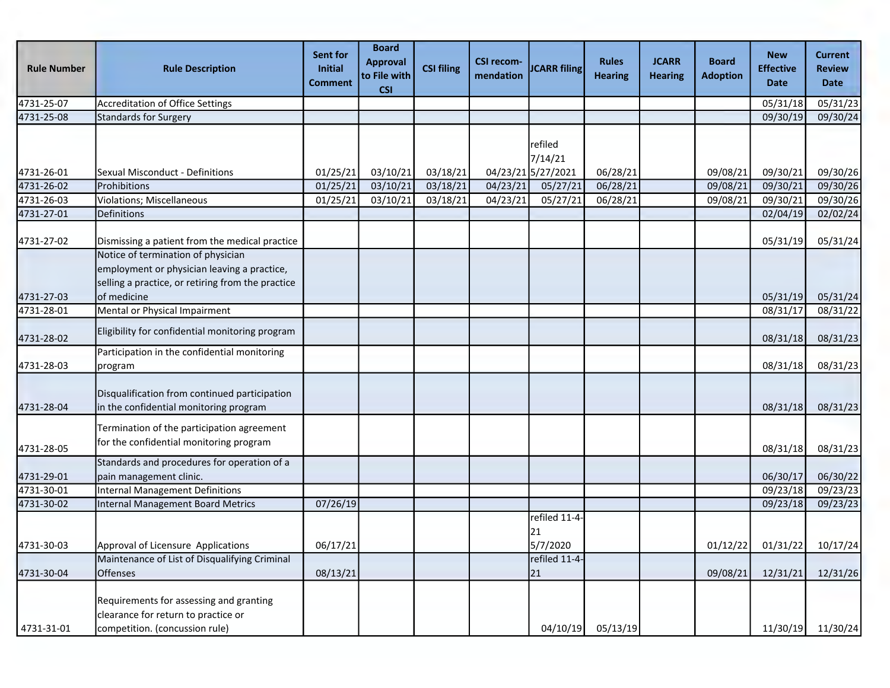| <b>Rule Number</b>       | <b>Rule Description</b>                                                                                                                               | Sent for<br>Initial<br>Comment | <b>Board</b><br><b>Approval</b><br>to File with<br><b>CSI</b> | <b>CSI filing</b>    | <b>CSI recom-</b><br>mendation | <b>JCARR</b> filing                                  | <b>Rules</b><br><b>Hearing</b> | <b>JCARR</b><br><b>Hearing</b> | <b>Board</b><br><b>Adoption</b> | <b>New</b><br><b>Effective</b><br><b>Date</b> | <b>Current</b><br><b>Review</b><br><b>Date</b> |
|--------------------------|-------------------------------------------------------------------------------------------------------------------------------------------------------|--------------------------------|---------------------------------------------------------------|----------------------|--------------------------------|------------------------------------------------------|--------------------------------|--------------------------------|---------------------------------|-----------------------------------------------|------------------------------------------------|
| 4731-25-07               | Accreditation of Office Settings                                                                                                                      |                                |                                                               |                      |                                |                                                      |                                |                                |                                 | 05/31/18                                      | 05/31/23                                       |
| 4731-25-08               | <b>Standards for Surgery</b>                                                                                                                          |                                |                                                               |                      |                                |                                                      |                                |                                |                                 | 09/30/19                                      | 09/30/24                                       |
| 4731-26-01<br>4731-26-02 | Sexual Misconduct - Definitions<br>Prohibitions                                                                                                       | 01/25/21<br>01/25/21           | 03/10/21<br>03/10/21                                          | 03/18/21<br>03/18/21 | 04/23/21                       | refiled<br>7/14/21<br>04/23/21 5/27/2021<br>05/27/21 | 06/28/21<br>06/28/21           |                                | 09/08/21<br>09/08/21            | 09/30/21<br>09/30/21                          | 09/30/26<br>09/30/26                           |
| 4731-26-03               | Violations; Miscellaneous                                                                                                                             | 01/25/21                       | 03/10/21                                                      | 03/18/21             | 04/23/21                       | 05/27/21                                             | 06/28/21                       |                                | 09/08/21                        | 09/30/21                                      | 09/30/26                                       |
| 4731-27-01               | Definitions                                                                                                                                           |                                |                                                               |                      |                                |                                                      |                                |                                |                                 | 02/04/19                                      | 02/02/24                                       |
| 4731-27-02               | Dismissing a patient from the medical practice                                                                                                        |                                |                                                               |                      |                                |                                                      |                                |                                |                                 | 05/31/19                                      | 05/31/24                                       |
| 4731-27-03               | Notice of termination of physician<br>employment or physician leaving a practice,<br>selling a practice, or retiring from the practice<br>of medicine |                                |                                                               |                      |                                |                                                      |                                |                                |                                 | 05/31/19                                      | 05/31/24                                       |
| 4731-28-01               | Mental or Physical Impairment                                                                                                                         |                                |                                                               |                      |                                |                                                      |                                |                                |                                 | 08/31/17                                      | 08/31/22                                       |
| 4731-28-02               | Eligibility for confidential monitoring program                                                                                                       |                                |                                                               |                      |                                |                                                      |                                |                                |                                 | 08/31/18                                      | 08/31/23                                       |
| 4731-28-03               | Participation in the confidential monitoring<br>program                                                                                               |                                |                                                               |                      |                                |                                                      |                                |                                |                                 | 08/31/18                                      | 08/31/23                                       |
| 4731-28-04               | Disqualification from continued participation<br>in the confidential monitoring program                                                               |                                |                                                               |                      |                                |                                                      |                                |                                |                                 | 08/31/18                                      | 08/31/23                                       |
| 4731-28-05               | Termination of the participation agreement<br>for the confidential monitoring program                                                                 |                                |                                                               |                      |                                |                                                      |                                |                                |                                 | 08/31/18                                      | 08/31/23                                       |
| 4731-29-01               | Standards and procedures for operation of a<br>pain management clinic.                                                                                |                                |                                                               |                      |                                |                                                      |                                |                                |                                 | 06/30/17                                      | 06/30/22                                       |
| 4731-30-01               | Internal Management Definitions                                                                                                                       |                                |                                                               |                      |                                |                                                      |                                |                                |                                 | 09/23/18                                      | 09/23/23                                       |
| 4731-30-02               | <b>Internal Management Board Metrics</b>                                                                                                              | 07/26/19                       |                                                               |                      |                                |                                                      |                                |                                |                                 | 09/23/18                                      | 09/23/23                                       |
| 4731-30-03               | Approval of Licensure Applications                                                                                                                    | 06/17/21                       |                                                               |                      |                                | refiled 11-4<br>21<br>5/7/2020                       |                                |                                | 01/12/22                        | 01/31/22                                      | 10/17/24                                       |
| 4731-30-04               | Maintenance of List of Disqualifying Criminal<br>Offenses                                                                                             | 08/13/21                       |                                                               |                      |                                | refiled 11-4-<br>21                                  |                                |                                | 09/08/21                        | 12/31/21                                      | 12/31/26                                       |
| 4731-31-01               | Requirements for assessing and granting<br>clearance for return to practice or<br>competition. (concussion rule)                                      |                                |                                                               |                      |                                | 04/10/19                                             | 05/13/19                       |                                |                                 | 11/30/19                                      | 11/30/24                                       |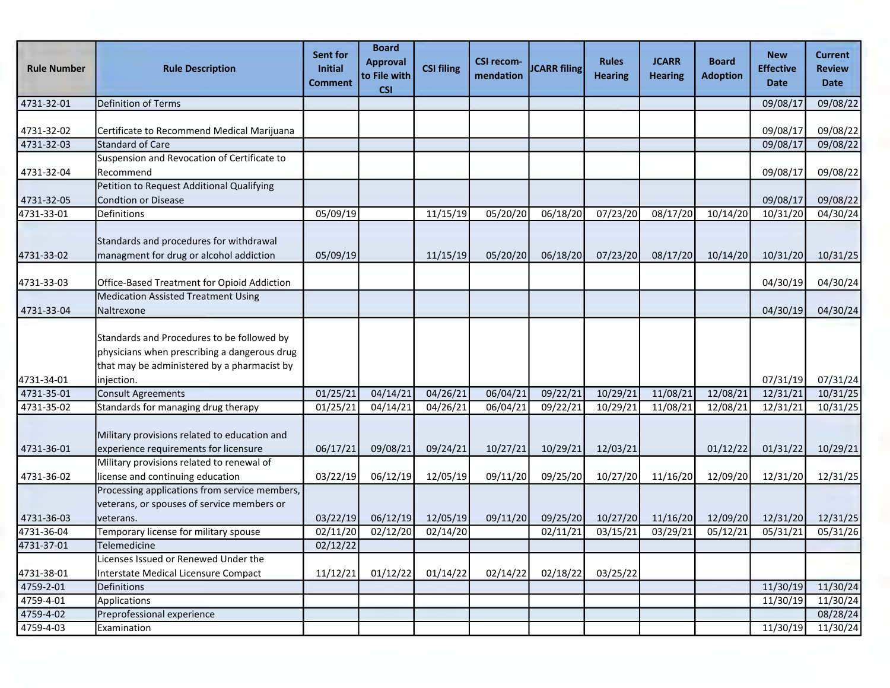| <b>Rule Number</b> | <b>Rule Description</b>                                                                                                                   | Sent for<br><b>Initial</b><br><b>Comment</b> | <b>Board</b><br><b>Approval</b><br>to File with<br><b>CSI</b> | <b>CSI filing</b> | <b>CSI recom-</b><br>mendation | <b>JCARR filing</b>   | <b>Rules</b><br><b>Hearing</b> | <b>JCARR</b><br><b>Hearing</b> | <b>Board</b><br><b>Adoption</b> | <b>New</b><br><b>Effective</b><br><b>Date</b> | <b>Current</b><br><b>Review</b><br><b>Date</b> |
|--------------------|-------------------------------------------------------------------------------------------------------------------------------------------|----------------------------------------------|---------------------------------------------------------------|-------------------|--------------------------------|-----------------------|--------------------------------|--------------------------------|---------------------------------|-----------------------------------------------|------------------------------------------------|
| 4731-32-01         | <b>Definition of Terms</b>                                                                                                                |                                              |                                                               |                   |                                |                       |                                |                                |                                 | 09/08/17                                      | 09/08/22                                       |
|                    |                                                                                                                                           |                                              |                                                               |                   |                                |                       |                                |                                |                                 |                                               |                                                |
| 4731-32-02         | Certificate to Recommend Medical Marijuana                                                                                                |                                              |                                                               |                   |                                |                       |                                |                                |                                 | 09/08/17                                      | 09/08/22                                       |
| 4731-32-03         | Standard of Care                                                                                                                          |                                              |                                                               |                   |                                |                       |                                |                                |                                 | 09/08/17                                      | 09/08/22                                       |
|                    | Suspension and Revocation of Certificate to                                                                                               |                                              |                                                               |                   |                                |                       |                                |                                |                                 |                                               |                                                |
| 4731-32-04         | Recommend                                                                                                                                 |                                              |                                                               |                   |                                |                       |                                |                                |                                 | 09/08/17                                      | 09/08/22                                       |
|                    | Petition to Request Additional Qualifying                                                                                                 |                                              |                                                               |                   |                                |                       |                                |                                |                                 |                                               |                                                |
| 4731-32-05         | <b>Condtion or Disease</b>                                                                                                                |                                              |                                                               |                   |                                |                       |                                |                                |                                 | 09/08/17                                      | 09/08/22                                       |
| 4731-33-01         | Definitions                                                                                                                               | 05/09/19                                     |                                                               | 11/15/19          | 05/20/20                       | 06/18/20              | 07/23/20                       | 08/17/20                       | 10/14/20                        | 10/31/20                                      | 04/30/24                                       |
|                    | Standards and procedures for withdrawal                                                                                                   |                                              |                                                               |                   |                                |                       |                                |                                |                                 |                                               |                                                |
| 4731-33-02         | managment for drug or alcohol addiction                                                                                                   | 05/09/19                                     |                                                               | 11/15/19          | 05/20/20                       | 06/18/20              | 07/23/20                       | 08/17/20                       | 10/14/20                        | 10/31/20                                      | 10/31/25                                       |
|                    |                                                                                                                                           |                                              |                                                               |                   |                                |                       |                                |                                |                                 |                                               |                                                |
| 4731-33-03         | Office-Based Treatment for Opioid Addiction                                                                                               |                                              |                                                               |                   |                                |                       |                                |                                |                                 | 04/30/19                                      | 04/30/24                                       |
|                    | <b>Medication Assisted Treatment Using</b>                                                                                                |                                              |                                                               |                   |                                |                       |                                |                                |                                 |                                               |                                                |
| 4731-33-04         | Naltrexone                                                                                                                                |                                              |                                                               |                   |                                |                       |                                |                                |                                 | 04/30/19                                      | 04/30/24                                       |
|                    | Standards and Procedures to be followed by<br>physicians when prescribing a dangerous drug<br>that may be administered by a pharmacist by |                                              |                                                               |                   |                                |                       |                                |                                |                                 |                                               |                                                |
| 4731-34-01         | injection.                                                                                                                                |                                              |                                                               |                   |                                |                       |                                |                                |                                 | 07/31/19                                      | 07/31/24                                       |
| 4731-35-01         | <b>Consult Agreements</b>                                                                                                                 | 01/25/21                                     | 04/14/21                                                      | 04/26/21          | 06/04/21                       | $\overline{09/22/21}$ | 10/29/21                       | 11/08/21                       | 12/08/21                        | 12/31/21                                      | 10/31/25                                       |
| 4731-35-02         | Standards for managing drug therapy                                                                                                       | 01/25/21                                     | 04/14/21                                                      | 04/26/21          | 06/04/21                       | 09/22/21              | 10/29/21                       | 11/08/21                       | 12/08/21                        | 12/31/21                                      | 10/31/25                                       |
| 4731-36-01         | Military provisions related to education and<br>experience requirements for licensure                                                     | 06/17/21                                     | 09/08/21                                                      | 09/24/21          | 10/27/21                       | 10/29/21              | 12/03/21                       |                                | 01/12/22                        | 01/31/22                                      | 10/29/21                                       |
|                    | Military provisions related to renewal of                                                                                                 |                                              |                                                               |                   |                                |                       |                                |                                |                                 |                                               |                                                |
| 4731-36-02         | license and continuing education                                                                                                          | 03/22/19                                     | 06/12/19                                                      | 12/05/19          | 09/11/20                       | 09/25/20              | 10/27/20                       | 11/16/20                       | 12/09/20                        | 12/31/20                                      | 12/31/25                                       |
|                    | Processing applications from service members,<br>veterans, or spouses of service members or                                               |                                              |                                                               |                   |                                |                       |                                |                                |                                 |                                               |                                                |
| 4731-36-03         | veterans.                                                                                                                                 | 03/22/19                                     | 06/12/19                                                      | 12/05/19          | 09/11/20                       | 09/25/20              | 10/27/20                       | 11/16/20                       | 12/09/20                        | 12/31/20                                      | 12/31/25                                       |
| 4731-36-04         | Temporary license for military spouse                                                                                                     | 02/11/20                                     | 02/12/20                                                      | 02/14/20          |                                | 02/11/21              | 03/15/21                       | 03/29/21                       | 05/12/21                        | 05/31/21                                      | 05/31/26                                       |
| 4731-37-01         | Telemedicine                                                                                                                              | 02/12/22                                     |                                                               |                   |                                |                       |                                |                                |                                 |                                               |                                                |
|                    | Licenses Issued or Renewed Under the                                                                                                      |                                              |                                                               |                   |                                |                       |                                |                                |                                 |                                               |                                                |
| 4731-38-01         | Interstate Medical Licensure Compact                                                                                                      | 11/12/21                                     | 01/12/22                                                      | 01/14/22          | 02/14/22                       | 02/18/22              | 03/25/22                       |                                |                                 |                                               |                                                |
| 4759-2-01          | <b>Definitions</b>                                                                                                                        |                                              |                                                               |                   |                                |                       |                                |                                |                                 | 11/30/19                                      | 11/30/24                                       |
| 4759-4-01          | Applications                                                                                                                              |                                              |                                                               |                   |                                |                       |                                |                                |                                 | 11/30/19                                      | 11/30/24                                       |
| 4759-4-02          | Preprofessional experience                                                                                                                |                                              |                                                               |                   |                                |                       |                                |                                |                                 |                                               | 08/28/24                                       |
| 4759-4-03          | Examination                                                                                                                               |                                              |                                                               |                   |                                |                       |                                |                                |                                 | 11/30/19                                      | 11/30/24                                       |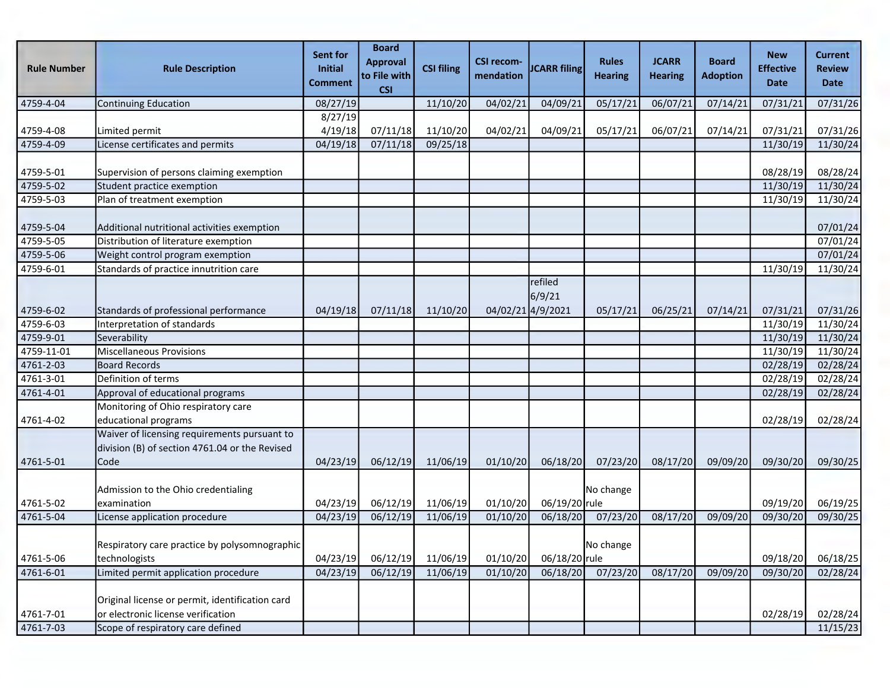| <b>Rule Number</b> | <b>Rule Description</b>                                                                                       | Sent for<br>Initial<br><b>Comment</b> | <b>Board</b><br><b>Approval</b><br>to File with<br><b>CSI</b> | <b>CSI filing</b> | <b>CSI recom-</b><br>mendation | <b>JCARR</b> filing                    | <b>Rules</b><br><b>Hearing</b> | <b>JCARR</b><br><b>Hearing</b> | <b>Board</b><br><b>Adoption</b> | <b>New</b><br><b>Effective</b><br><b>Date</b> | <b>Current</b><br><b>Review</b><br><b>Date</b> |
|--------------------|---------------------------------------------------------------------------------------------------------------|---------------------------------------|---------------------------------------------------------------|-------------------|--------------------------------|----------------------------------------|--------------------------------|--------------------------------|---------------------------------|-----------------------------------------------|------------------------------------------------|
| 4759-4-04          | Continuing Education                                                                                          | 08/27/19                              |                                                               | 11/10/20          | 04/02/21                       | 04/09/21                               | 05/17/21                       | 06/07/21                       | 07/14/21                        | 07/31/21                                      | 07/31/26                                       |
|                    |                                                                                                               | 8/27/19                               |                                                               |                   |                                |                                        |                                |                                |                                 |                                               |                                                |
| 4759-4-08          | Limited permit                                                                                                | 4/19/18                               | 07/11/18                                                      | 11/10/20          | 04/02/21                       | 04/09/21                               | 05/17/21                       | 06/07/21                       | 07/14/21                        | 07/31/21                                      | 07/31/26                                       |
| 4759-4-09          | License certificates and permits                                                                              | 04/19/18                              | 07/11/18                                                      | 09/25/18          |                                |                                        |                                |                                |                                 | 11/30/19                                      | 11/30/24                                       |
| 4759-5-01          | Supervision of persons claiming exemption                                                                     |                                       |                                                               |                   |                                |                                        |                                |                                |                                 | 08/28/19                                      | 08/28/24                                       |
| 4759-5-02          | Student practice exemption                                                                                    |                                       |                                                               |                   |                                |                                        |                                |                                |                                 | 11/30/19                                      | 11/30/24                                       |
| 4759-5-03          | Plan of treatment exemption                                                                                   |                                       |                                                               |                   |                                |                                        |                                |                                |                                 | 11/30/19                                      | 11/30/24                                       |
| 4759-5-04          | Additional nutritional activities exemption                                                                   |                                       |                                                               |                   |                                |                                        |                                |                                |                                 |                                               | 07/01/24                                       |
| 4759-5-05          | Distribution of literature exemption                                                                          |                                       |                                                               |                   |                                |                                        |                                |                                |                                 |                                               | 07/01/24                                       |
| 4759-5-06          | Weight control program exemption                                                                              |                                       |                                                               |                   |                                |                                        |                                |                                |                                 |                                               | 07/01/24                                       |
| 4759-6-01          | Standards of practice innutrition care                                                                        |                                       |                                                               |                   |                                |                                        |                                |                                |                                 | 11/30/19                                      | 11/30/24                                       |
| 4759-6-02          | Standards of professional performance                                                                         | 04/19/18                              | 07/11/18                                                      | 11/10/20          |                                | refiled<br>6/9/21<br>04/02/21 4/9/2021 | 05/17/21                       | 06/25/21                       | 07/14/21                        | 07/31/21                                      | 07/31/26                                       |
| 4759-6-03          | Interpretation of standards                                                                                   |                                       |                                                               |                   |                                |                                        |                                |                                |                                 | 11/30/19                                      | 11/30/24                                       |
| 4759-9-01          | Severability                                                                                                  |                                       |                                                               |                   |                                |                                        |                                |                                |                                 | 11/30/19                                      | 11/30/24                                       |
| 4759-11-01         | Miscellaneous Provisions                                                                                      |                                       |                                                               |                   |                                |                                        |                                |                                |                                 | 11/30/19                                      | 11/30/24                                       |
| 4761-2-03          | <b>Board Records</b>                                                                                          |                                       |                                                               |                   |                                |                                        |                                |                                |                                 | 02/28/19                                      | 02/28/24                                       |
| 4761-3-01          | Definition of terms                                                                                           |                                       |                                                               |                   |                                |                                        |                                |                                |                                 | 02/28/19                                      | 02/28/24                                       |
| 4761-4-01          | Approval of educational programs                                                                              |                                       |                                                               |                   |                                |                                        |                                |                                |                                 | 02/28/19                                      | 02/28/24                                       |
| 4761-4-02          | Monitoring of Ohio respiratory care<br>educational programs                                                   |                                       |                                                               |                   |                                |                                        |                                |                                |                                 | 02/28/19                                      | 02/28/24                                       |
| 4761-5-01          | Waiver of licensing requirements pursuant to<br>division (B) of section 4761.04 or the Revised<br><b>Code</b> | 04/23/19                              | 06/12/19                                                      | 11/06/19          | 01/10/20                       | 06/18/20                               | 07/23/20                       | 08/17/20                       | 09/09/20                        | 09/30/20                                      | 09/30/25                                       |
| 4761-5-02          | Admission to the Ohio credentialing<br>lexamination                                                           | 04/23/19                              | 06/12/19                                                      | 11/06/19          | 01/10/20                       | 06/19/20 rule                          | No change                      |                                |                                 | 09/19/20                                      | 06/19/25                                       |
| 4761-5-04          | License application procedure                                                                                 | 04/23/19                              | 06/12/19                                                      | 11/06/19          | 01/10/20                       | 06/18/20                               | 07/23/20                       | 08/17/20                       | 09/09/20                        | 09/30/20                                      | 09/30/25                                       |
| 4761-5-06          | Respiratory care practice by polysomnographic<br>technologists                                                | 04/23/19                              | 06/12/19                                                      | 11/06/19          | 01/10/20                       | 06/18/20 rule                          | No change                      |                                |                                 | 09/18/20                                      | 06/18/25                                       |
| 4761-6-01          | Limited permit application procedure                                                                          | 04/23/19                              | 06/12/19                                                      | 11/06/19          | 01/10/20                       | 06/18/20                               | 07/23/20                       | 08/17/20                       | 09/09/20                        | 09/30/20                                      | 02/28/24                                       |
| 4761-7-01          | Original license or permit, identification card<br>or electronic license verification                         |                                       |                                                               |                   |                                |                                        |                                |                                |                                 | 02/28/19                                      | 02/28/24                                       |
| 4761-7-03          | Scope of respiratory care defined                                                                             |                                       |                                                               |                   |                                |                                        |                                |                                |                                 |                                               | 11/15/23                                       |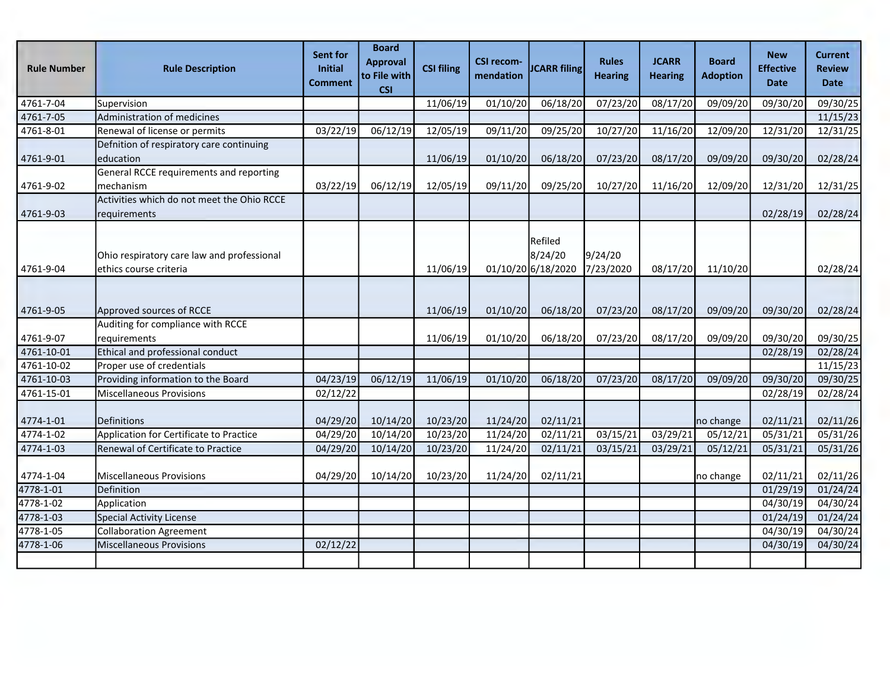| <b>Rule Number</b> | <b>Rule Description</b>                                               | Sent for<br><b>Initial</b><br><b>Comment</b> | <b>Board</b><br><b>Approval</b><br>to File with<br><b>CSI</b> | <b>CSI filing</b> | <b>CSI recom-</b><br>mendation | <b>JCARR filing</b>                      | <b>Rules</b><br><b>Hearing</b> | <b>JCARR</b><br><b>Hearing</b> | <b>Board</b><br><b>Adoption</b> | <b>New</b><br><b>Effective</b><br><b>Date</b> | <b>Current</b><br><b>Review</b><br><b>Date</b> |
|--------------------|-----------------------------------------------------------------------|----------------------------------------------|---------------------------------------------------------------|-------------------|--------------------------------|------------------------------------------|--------------------------------|--------------------------------|---------------------------------|-----------------------------------------------|------------------------------------------------|
| 4761-7-04          | Supervision                                                           |                                              |                                                               | 11/06/19          | 01/10/20                       | 06/18/20                                 | 07/23/20                       | 08/17/20                       | 09/09/20                        | 09/30/20                                      | 09/30/25                                       |
| 4761-7-05          | Administration of medicines                                           |                                              |                                                               |                   |                                |                                          |                                |                                |                                 |                                               | 11/15/23                                       |
| 4761-8-01          | Renewal of license or permits                                         | 03/22/19                                     | 06/12/19                                                      | 12/05/19          | 09/11/20                       | 09/25/20                                 | 10/27/20                       | 11/16/20                       | 12/09/20                        | 12/31/20                                      | 12/31/25                                       |
| 4761-9-01          | Defnition of respiratory care continuing<br>education                 |                                              |                                                               | 11/06/19          | 01/10/20                       | 06/18/20                                 | 07/23/20                       | 08/17/20                       | 09/09/20                        | 09/30/20                                      | 02/28/24                                       |
|                    | General RCCE requirements and reporting                               |                                              |                                                               |                   |                                |                                          |                                |                                |                                 |                                               |                                                |
| 4761-9-02          | mechanism                                                             | 03/22/19                                     | 06/12/19                                                      | 12/05/19          | 09/11/20                       | 09/25/20                                 | 10/27/20                       | 11/16/20                       | 12/09/20                        | 12/31/20                                      | 12/31/25                                       |
| 4761-9-03          | Activities which do not meet the Ohio RCCE<br>requirements            |                                              |                                                               |                   |                                |                                          |                                |                                |                                 | 02/28/19                                      | 02/28/24                                       |
| 4761-9-04          | Ohio respiratory care law and professional<br>lethics course criteria |                                              |                                                               | 11/06/19          |                                | Refiled<br>8/24/20<br>01/10/20 6/18/2020 | 9/24/20<br>7/23/2020           | 08/17/20                       | 11/10/20                        |                                               | 02/28/24                                       |
| 4761-9-05          | Approved sources of RCCE                                              |                                              |                                                               | 11/06/19          | 01/10/20                       | 06/18/20                                 | 07/23/20                       | 08/17/20                       | 09/09/20                        | 09/30/20                                      | 02/28/24                                       |
| 4761-9-07          | Auditing for compliance with RCCE<br>requirements                     |                                              |                                                               | 11/06/19          | 01/10/20                       | 06/18/20                                 | 07/23/20                       | 08/17/20                       | 09/09/20                        | 09/30/20                                      | 09/30/25                                       |
| 4761-10-01         | Ethical and professional conduct                                      |                                              |                                                               |                   |                                |                                          |                                |                                |                                 | 02/28/19                                      | 02/28/24                                       |
| 4761-10-02         | Proper use of credentials                                             |                                              |                                                               |                   |                                |                                          |                                |                                |                                 |                                               | 11/15/23                                       |
| 4761-10-03         | Providing information to the Board                                    | 04/23/19                                     | 06/12/19                                                      | 11/06/19          | 01/10/20                       | 06/18/20                                 | 07/23/20                       | 08/17/20                       | 09/09/20                        | 09/30/20                                      | 09/30/25                                       |
| 4761-15-01         | Miscellaneous Provisions                                              | 02/12/22                                     |                                                               |                   |                                |                                          |                                |                                |                                 | 02/28/19                                      | 02/28/24                                       |
| 4774-1-01          | Definitions                                                           | 04/29/20                                     | 10/14/20                                                      | 10/23/20          | 11/24/20                       | 02/11/21                                 |                                |                                | no change                       | 02/11/21                                      | 02/11/26                                       |
| 4774-1-02          | Application for Certificate to Practice                               | 04/29/20                                     | 10/14/20                                                      | 10/23/20          | 11/24/20                       | 02/11/21                                 | 03/15/21                       | 03/29/21                       | 05/12/21                        | 05/31/21                                      | 05/31/26                                       |
| 4774-1-03          | Renewal of Certificate to Practice                                    | 04/29/20                                     | 10/14/20                                                      | 10/23/20          | 11/24/20                       | 02/11/21                                 | 03/15/21                       | 03/29/21                       | 05/12/21                        | 05/31/21                                      | 05/31/26                                       |
| 4774-1-04          | Miscellaneous Provisions                                              | 04/29/20                                     | 10/14/20                                                      | 10/23/20          | 11/24/20                       | 02/11/21                                 |                                |                                | no change                       | 02/11/21                                      | 02/11/26                                       |
| 4778-1-01          | Definition                                                            |                                              |                                                               |                   |                                |                                          |                                |                                |                                 | 01/29/19                                      | 01/24/24                                       |
| 4778-1-02          | Application                                                           |                                              |                                                               |                   |                                |                                          |                                |                                |                                 | 04/30/19                                      | 04/30/24                                       |
| 4778-1-03          | Special Activity License                                              |                                              |                                                               |                   |                                |                                          |                                |                                |                                 | 01/24/19                                      | 01/24/24                                       |
| 4778-1-05          | Collaboration Agreement                                               |                                              |                                                               |                   |                                |                                          |                                |                                |                                 | 04/30/19                                      | 04/30/24                                       |
| 4778-1-06          | Miscellaneous Provisions                                              | 02/12/22                                     |                                                               |                   |                                |                                          |                                |                                |                                 | 04/30/19                                      | 04/30/24                                       |
|                    |                                                                       |                                              |                                                               |                   |                                |                                          |                                |                                |                                 |                                               |                                                |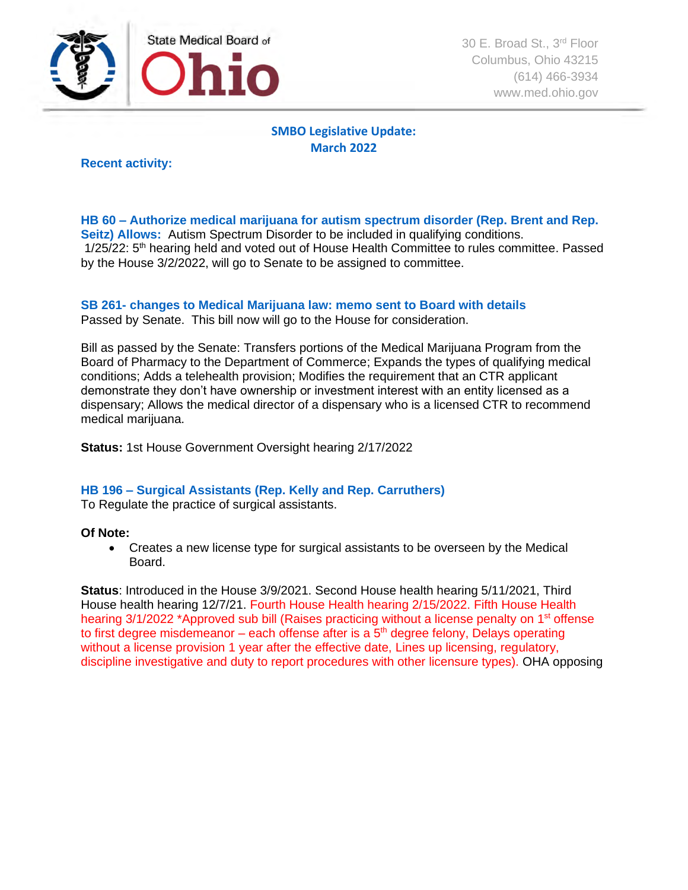

30 E. Broad St., 3<sup>rd</sup> Floor Columbus, Ohio 43215 (614) 466-3934 www.med.ohio.gov

# **SMBO Legislative Update: March 2022**

**Recent activity:**

**HB 60 – Authorize medical marijuana for autism spectrum disorder (Rep. Brent and Rep. Seitz) Allows:** Autism Spectrum Disorder to be included in qualifying conditions. 1/25/22: 5<sup>th</sup> hearing held and voted out of House Health Committee to rules committee. Passed by the House 3/2/2022, will go to Senate to be assigned to committee.

# **SB 261- changes to Medical Marijuana law: memo sent to Board with details**

Passed by Senate. This bill now will go to the House for consideration.

Bill as passed by the Senate: Transfers portions of the Medical Marijuana Program from the Board of Pharmacy to the Department of Commerce; Expands the types of qualifying medical conditions; Adds a telehealth provision; Modifies the requirement that an CTR applicant demonstrate they don't have ownership or investment interest with an entity licensed as a dispensary; Allows the medical director of a dispensary who is a licensed CTR to recommend medical marijuana.

**Status:** 1st House Government Oversight hearing 2/17/2022

# **HB 196 – Surgical Assistants (Rep. Kelly and Rep. Carruthers)**

To Regulate the practice of surgical assistants.

#### **Of Note:**

• Creates a new license type for surgical assistants to be overseen by the Medical Board.

**Status**: Introduced in the House 3/9/2021. Second House health hearing 5/11/2021, Third House health hearing 12/7/21. Fourth House Health hearing 2/15/2022. Fifth House Health hearing 3/1/2022 \*Approved sub bill (Raises practicing without a license penalty on 1<sup>st</sup> offense to first degree misdemeanor – each offense after is a  $5<sup>th</sup>$  degree felony, Delays operating without a license provision 1 year after the effective date, Lines up licensing, regulatory, discipline investigative and duty to report procedures with other licensure types). OHA opposing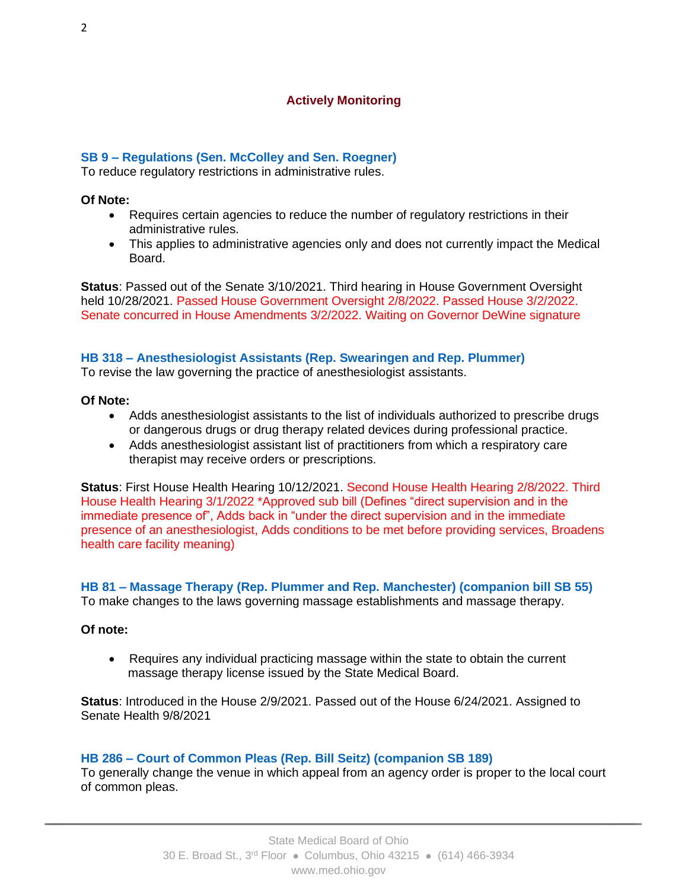# **Actively Monitoring**

# **SB 9 – Regulations (Sen. McColley and Sen. Roegner)**

To reduce regulatory restrictions in administrative rules.

#### **Of Note:**

- Requires certain agencies to reduce the number of regulatory restrictions in their administrative rules.
- This applies to administrative agencies only and does not currently impact the Medical Board.

**Status**: Passed out of the Senate 3/10/2021. Third hearing in House Government Oversight held 10/28/2021. Passed House Government Oversight 2/8/2022. Passed House 3/2/2022. Senate concurred in House Amendments 3/2/2022. Waiting on Governor DeWine signature

# **HB 318 – Anesthesiologist Assistants (Rep. Swearingen and Rep. Plummer)**

To revise the law governing the practice of anesthesiologist assistants.

### **Of Note:**

- Adds anesthesiologist assistants to the list of individuals authorized to prescribe drugs or dangerous drugs or drug therapy related devices during professional practice.
- Adds anesthesiologist assistant list of practitioners from which a respiratory care therapist may receive orders or prescriptions.

**Status**: First House Health Hearing 10/12/2021. Second House Health Hearing 2/8/2022. Third House Health Hearing 3/1/2022 \*Approved sub bill (Defines "direct supervision and in the immediate presence of", Adds back in "under the direct supervision and in the immediate presence of an anesthesiologist, Adds conditions to be met before providing services, Broadens health care facility meaning)

**HB 81 – Massage Therapy (Rep. Plummer and Rep. Manchester) (companion bill SB 55)** To make changes to the laws governing massage establishments and massage therapy.

# **Of note:**

• Requires any individual practicing massage within the state to obtain the current massage therapy license issued by the State Medical Board.

**Status**: Introduced in the House 2/9/2021. Passed out of the House 6/24/2021. Assigned to Senate Health 9/8/2021

# **HB 286 – Court of Common Pleas (Rep. Bill Seitz) (companion SB 189)**

To generally change the venue in which appeal from an agency order is proper to the local court of common pleas.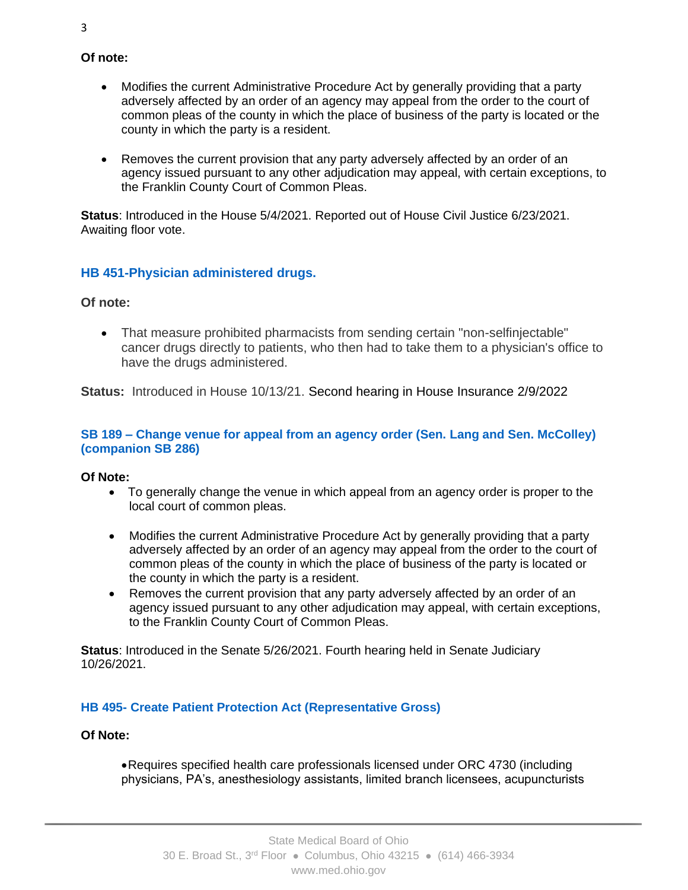- **Of note:**
	- Modifies the current Administrative Procedure Act by generally providing that a party adversely affected by an order of an agency may appeal from the order to the court of common pleas of the county in which the place of business of the party is located or the county in which the party is a resident.
	- Removes the current provision that any party adversely affected by an order of an agency issued pursuant to any other adjudication may appeal, with certain exceptions, to the Franklin County Court of Common Pleas.

**Status**: Introduced in the House 5/4/2021. Reported out of House Civil Justice 6/23/2021. Awaiting floor vote.

# **HB 451-Physician administered drugs.**

# **Of note:**

• That measure prohibited pharmacists from sending certain "non-selfinjectable" cancer drugs directly to patients, who then had to take them to a physician's office to have the drugs administered.

**Status:** Introduced in House 10/13/21. Second hearing in House Insurance 2/9/2022

# **SB 189 – Change venue for appeal from an agency order (Sen. Lang and Sen. McColley) (companion SB 286)**

# **Of Note:**

- To generally change the venue in which appeal from an agency order is proper to the local court of common pleas.
- Modifies the current Administrative Procedure Act by generally providing that a party adversely affected by an order of an agency may appeal from the order to the court of common pleas of the county in which the place of business of the party is located or the county in which the party is a resident.
- Removes the current provision that any party adversely affected by an order of an agency issued pursuant to any other adjudication may appeal, with certain exceptions, to the Franklin County Court of Common Pleas.

**Status**: Introduced in the Senate 5/26/2021. Fourth hearing held in Senate Judiciary 10/26/2021.

# **HB 495- Create Patient Protection Act (Representative Gross)**

# **Of Note:**

•Requires specified health care professionals licensed under ORC 4730 (including physicians, PA's, anesthesiology assistants, limited branch licensees, acupuncturists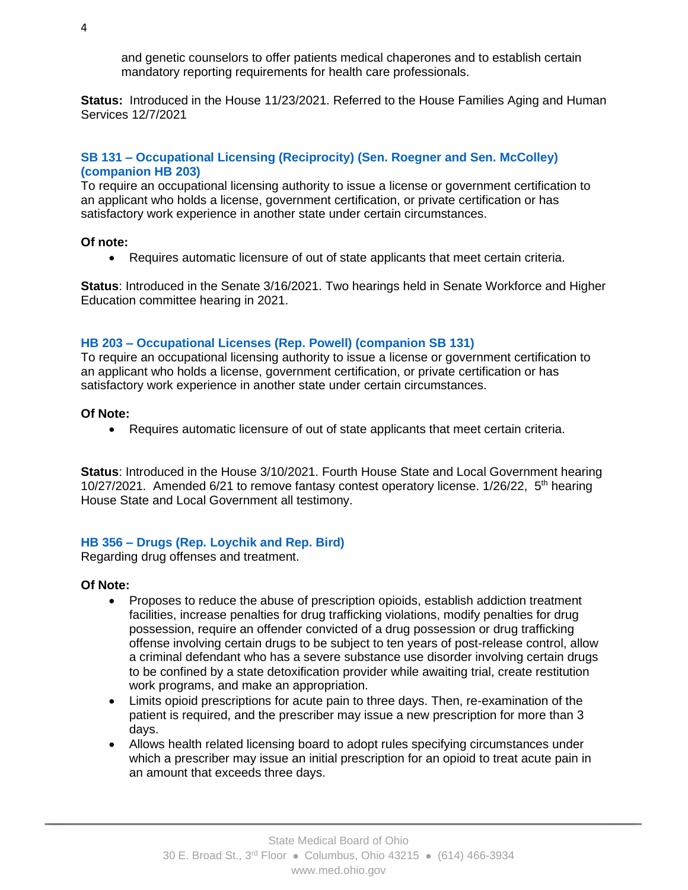and genetic counselors to offer patients medical chaperones and to establish certain mandatory reporting requirements for health care professionals.

**Status:** Introduced in the House 11/23/2021. Referred to the House Families Aging and Human Services 12/7/2021

# **SB 131 – Occupational Licensing (Reciprocity) (Sen. Roegner and Sen. McColley) (companion HB 203)**

To require an occupational licensing authority to issue a license or government certification to an applicant who holds a license, government certification, or private certification or has satisfactory work experience in another state under certain circumstances.

#### **Of note:**

• Requires automatic licensure of out of state applicants that meet certain criteria.

**Status**: Introduced in the Senate 3/16/2021. Two hearings held in Senate Workforce and Higher Education committee hearing in 2021.

# **HB 203 – Occupational Licenses (Rep. Powell) (companion SB 131)**

To require an occupational licensing authority to issue a license or government certification to an applicant who holds a license, government certification, or private certification or has satisfactory work experience in another state under certain circumstances.

### **Of Note:**

• Requires automatic licensure of out of state applicants that meet certain criteria.

**Status**: Introduced in the House 3/10/2021. Fourth House State and Local Government hearing 10/27/2021. Amended 6/21 to remove fantasy contest operatory license. 1/26/22, 5<sup>th</sup> hearing House State and Local Government all testimony.

# **HB 356 – Drugs (Rep. Loychik and Rep. Bird)**

Regarding drug offenses and treatment.

#### **Of Note:**

- Proposes to reduce the abuse of prescription opioids, establish addiction treatment facilities, increase penalties for drug trafficking violations, modify penalties for drug possession, require an offender convicted of a drug possession or drug trafficking offense involving certain drugs to be subject to ten years of post-release control, allow a criminal defendant who has a severe substance use disorder involving certain drugs to be confined by a state detoxification provider while awaiting trial, create restitution work programs, and make an appropriation.
- Limits opioid prescriptions for acute pain to three days. Then, re-examination of the patient is required, and the prescriber may issue a new prescription for more than 3 days.
- Allows health related licensing board to adopt rules specifying circumstances under which a prescriber may issue an initial prescription for an opioid to treat acute pain in an amount that exceeds three days.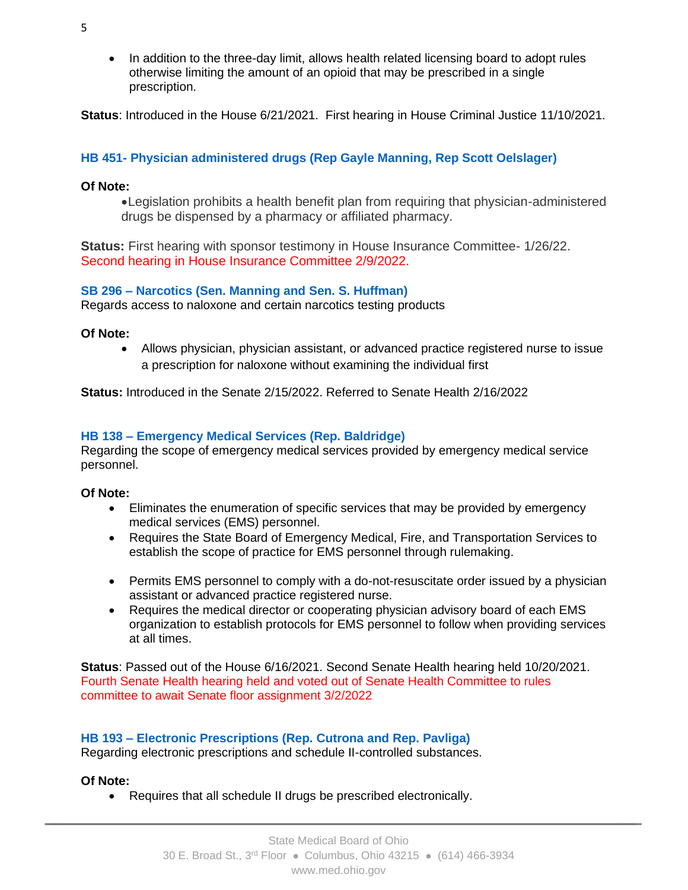• In addition to the three-day limit, allows health related licensing board to adopt rules otherwise limiting the amount of an opioid that may be prescribed in a single prescription.

**Status**: Introduced in the House 6/21/2021. First hearing in House Criminal Justice 11/10/2021.

# **HB 451- Physician administered drugs (Rep Gayle Manning, Rep Scott Oelslager)**

# **Of Note:**

•Legislation prohibits a health benefit plan from requiring that physician-administered drugs be dispensed by a pharmacy or affiliated pharmacy.

**Status:** First hearing with sponsor testimony in House Insurance Committee- 1/26/22. Second hearing in House Insurance Committee 2/9/2022.

# **SB 296 – Narcotics (Sen. Manning and Sen. S. Huffman)**

Regards access to naloxone and certain narcotics testing products

# **Of Note:**

• Allows physician, physician assistant, or advanced practice registered nurse to issue a prescription for naloxone without examining the individual first

**Status:** Introduced in the Senate 2/15/2022. Referred to Senate Health 2/16/2022

# **HB 138 – Emergency Medical Services (Rep. Baldridge)**

Regarding the scope of emergency medical services provided by emergency medical service personnel.

# **Of Note:**

- Eliminates the enumeration of specific services that may be provided by emergency medical services (EMS) personnel.
- Requires the State Board of Emergency Medical, Fire, and Transportation Services to establish the scope of practice for EMS personnel through rulemaking.
- Permits EMS personnel to comply with a do-not-resuscitate order issued by a physician assistant or advanced practice registered nurse.
- Requires the medical director or cooperating physician advisory board of each EMS organization to establish protocols for EMS personnel to follow when providing services at all times.

**Status**: Passed out of the House 6/16/2021. Second Senate Health hearing held 10/20/2021. Fourth Senate Health hearing held and voted out of Senate Health Committee to rules committee to await Senate floor assignment 3/2/2022

# **HB 193 – Electronic Prescriptions (Rep. Cutrona and Rep. Pavliga)**

Regarding electronic prescriptions and schedule II-controlled substances.

# **Of Note:**

• Requires that all schedule II drugs be prescribed electronically.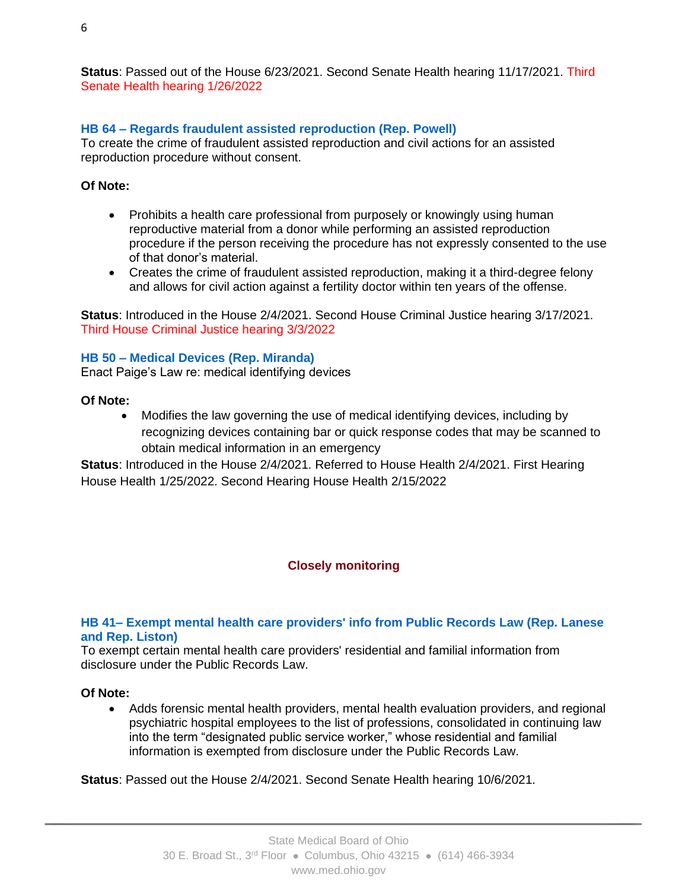**Status**: Passed out of the House 6/23/2021. Second Senate Health hearing 11/17/2021. Third Senate Health hearing 1/26/2022

# **HB 64 – Regards fraudulent assisted reproduction (Rep. Powell)**

To create the crime of fraudulent assisted reproduction and civil actions for an assisted reproduction procedure without consent.

### **Of Note:**

- Prohibits a health care professional from purposely or knowingly using human reproductive material from a donor while performing an assisted reproduction procedure if the person receiving the procedure has not expressly consented to the use of that donor's material.
- Creates the crime of fraudulent assisted reproduction, making it a third-degree felony and allows for civil action against a fertility doctor within ten years of the offense.

**Status**: Introduced in the House 2/4/2021. Second House Criminal Justice hearing 3/17/2021. Third House Criminal Justice hearing 3/3/2022

### **HB 50 – Medical Devices (Rep. Miranda)**

Enact Paige's Law re: medical identifying devices

### **Of Note:**

• Modifies the law governing the use of medical identifying devices, including by recognizing devices containing bar or quick response codes that may be scanned to obtain medical information in an emergency

**Status**: Introduced in the House 2/4/2021. Referred to House Health 2/4/2021. First Hearing House Health 1/25/2022. Second Hearing House Health 2/15/2022

# **Closely monitoring**

# **HB 41– Exempt mental health care providers' info from Public Records Law (Rep. Lanese and Rep. Liston)**

To exempt certain mental health care providers' residential and familial information from disclosure under the Public Records Law.

#### **Of Note:**

• Adds forensic mental health providers, mental health evaluation providers, and regional psychiatric hospital employees to the list of professions, consolidated in continuing law into the term "designated public service worker," whose residential and familial information is exempted from disclosure under the Public Records Law.

**Status**: Passed out the House 2/4/2021. Second Senate Health hearing 10/6/2021.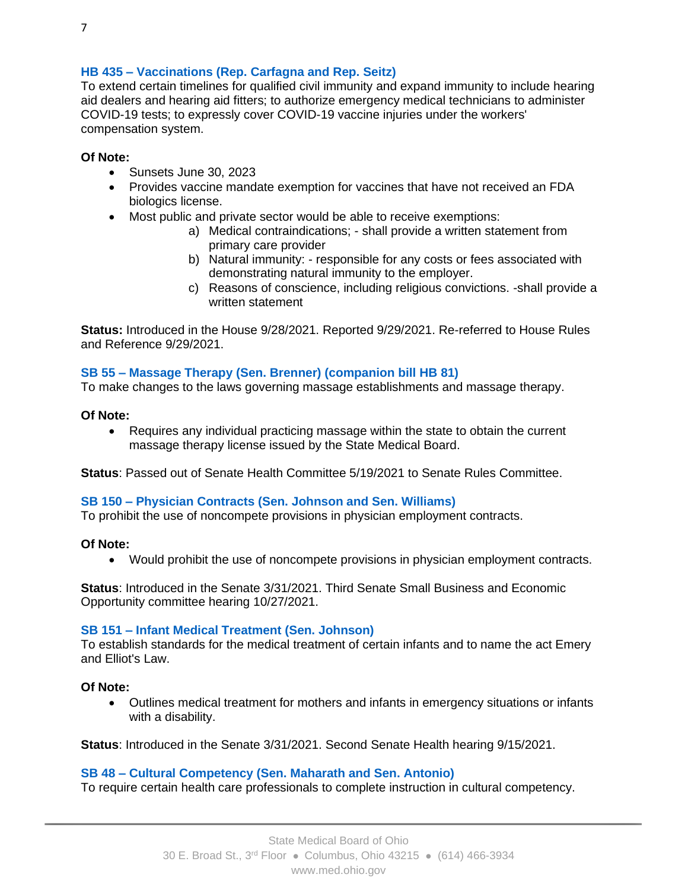### **HB 435 – Vaccinations (Rep. Carfagna and Rep. Seitz)**

To extend certain timelines for qualified civil immunity and expand immunity to include hearing aid dealers and hearing aid fitters; to authorize emergency medical technicians to administer COVID-19 tests; to expressly cover COVID-19 vaccine injuries under the workers' compensation system.

#### **Of Note:**

- Sunsets June 30, 2023
- Provides vaccine mandate exemption for vaccines that have not received an FDA biologics license.
- Most public and private sector would be able to receive exemptions:
	- a) Medical contraindications; shall provide a written statement from primary care provider
	- b) Natural immunity: responsible for any costs or fees associated with demonstrating natural immunity to the employer.
	- c) Reasons of conscience, including religious convictions. -shall provide a written statement

**Status:** Introduced in the House 9/28/2021. Reported 9/29/2021. Re-referred to House Rules and Reference 9/29/2021.

#### **SB 55 – Massage Therapy (Sen. Brenner) (companion bill HB 81)**

To make changes to the laws governing massage establishments and massage therapy.

#### **Of Note:**

• Requires any individual practicing massage within the state to obtain the current massage therapy license issued by the State Medical Board.

**Status**: Passed out of Senate Health Committee 5/19/2021 to Senate Rules Committee.

#### **SB 150 – Physician Contracts (Sen. Johnson and Sen. Williams)**

To prohibit the use of noncompete provisions in physician employment contracts.

#### **Of Note:**

• Would prohibit the use of noncompete provisions in physician employment contracts.

**Status**: Introduced in the Senate 3/31/2021. Third Senate Small Business and Economic Opportunity committee hearing 10/27/2021.

#### **SB 151 – Infant Medical Treatment (Sen. Johnson)**

To establish standards for the medical treatment of certain infants and to name the act Emery and Elliot's Law.

#### **Of Note:**

• Outlines medical treatment for mothers and infants in emergency situations or infants with a disability.

**Status**: Introduced in the Senate 3/31/2021. Second Senate Health hearing 9/15/2021.

#### **SB 48 – Cultural Competency (Sen. Maharath and Sen. Antonio)**

To require certain health care professionals to complete instruction in cultural competency.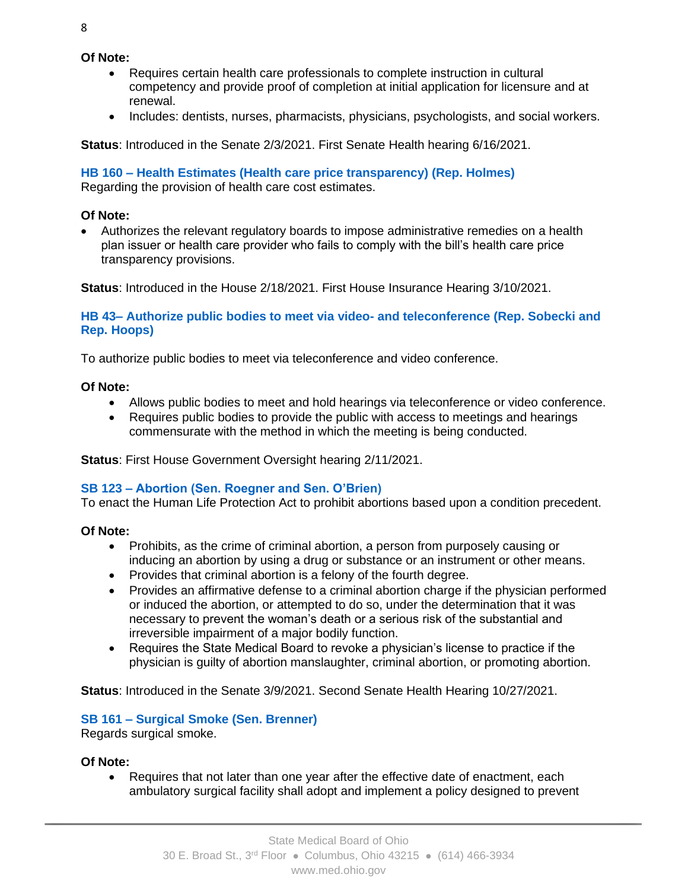### **Of Note:**

- Requires certain health care professionals to complete instruction in cultural competency and provide proof of completion at initial application for licensure and at renewal.
- Includes: dentists, nurses, pharmacists, physicians, psychologists, and social workers.

**Status**: Introduced in the Senate 2/3/2021. First Senate Health hearing 6/16/2021.

### **HB 160 – Health Estimates (Health care price transparency) (Rep. Holmes)**

Regarding the provision of health care cost estimates.

### **Of Note:**

• Authorizes the relevant regulatory boards to impose administrative remedies on a health plan issuer or health care provider who fails to comply with the bill's health care price transparency provisions.

**Status**: Introduced in the House 2/18/2021. First House Insurance Hearing 3/10/2021.

### **HB 43– Authorize public bodies to meet via video- and teleconference (Rep. Sobecki and Rep. Hoops)**

To authorize public bodies to meet via teleconference and video conference.

#### **Of Note:**

- Allows public bodies to meet and hold hearings via teleconference or video conference.
- Requires public bodies to provide the public with access to meetings and hearings commensurate with the method in which the meeting is being conducted.

**Status**: First House Government Oversight hearing 2/11/2021.

# **SB 123 – Abortion (Sen. Roegner and Sen. O'Brien)**

To enact the Human Life Protection Act to prohibit abortions based upon a condition precedent.

# **Of Note:**

- Prohibits, as the crime of criminal abortion, a person from purposely causing or inducing an abortion by using a drug or substance or an instrument or other means.
- Provides that criminal abortion is a felony of the fourth degree.
- Provides an affirmative defense to a criminal abortion charge if the physician performed or induced the abortion, or attempted to do so, under the determination that it was necessary to prevent the woman's death or a serious risk of the substantial and irreversible impairment of a major bodily function.
- Requires the State Medical Board to revoke a physician's license to practice if the physician is guilty of abortion manslaughter, criminal abortion, or promoting abortion.

**Status**: Introduced in the Senate 3/9/2021. Second Senate Health Hearing 10/27/2021.

# **SB 161 – Surgical Smoke (Sen. Brenner)**

Regards surgical smoke.

#### **Of Note:**

• Requires that not later than one year after the effective date of enactment, each ambulatory surgical facility shall adopt and implement a policy designed to prevent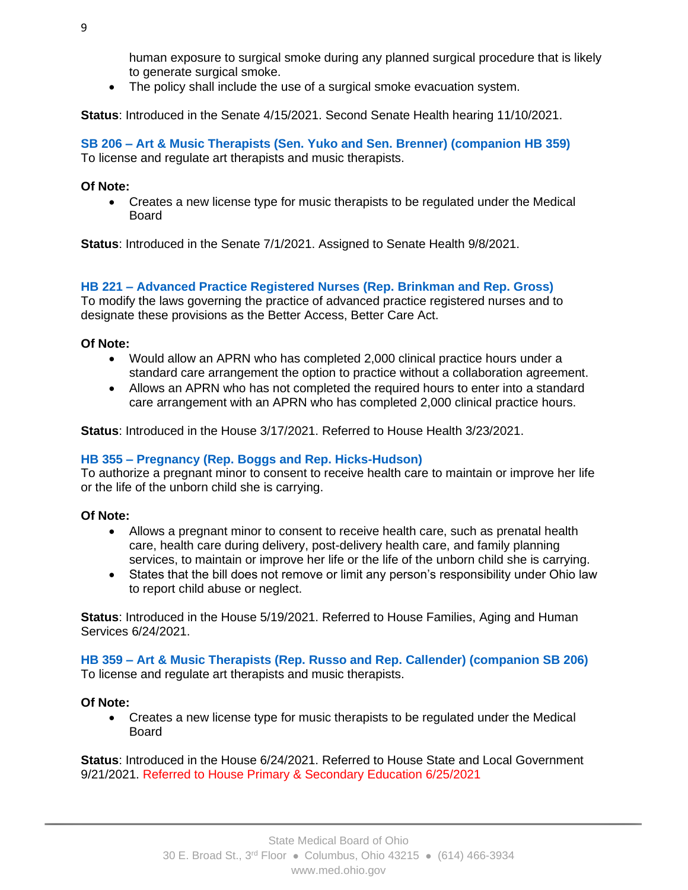human exposure to surgical smoke during any planned surgical procedure that is likely to generate surgical smoke.

The policy shall include the use of a surgical smoke evacuation system.

**Status**: Introduced in the Senate 4/15/2021. Second Senate Health hearing 11/10/2021.

**SB 206 – Art & Music Therapists (Sen. Yuko and Sen. Brenner) (companion HB 359)** To license and regulate art therapists and music therapists.

# **Of Note:**

• Creates a new license type for music therapists to be regulated under the Medical Board

**Status**: Introduced in the Senate 7/1/2021. Assigned to Senate Health 9/8/2021.

# **HB 221 – Advanced Practice Registered Nurses (Rep. Brinkman and Rep. Gross)**

To modify the laws governing the practice of advanced practice registered nurses and to designate these provisions as the Better Access, Better Care Act.

# **Of Note:**

- Would allow an APRN who has completed 2,000 clinical practice hours under a standard care arrangement the option to practice without a collaboration agreement.
- Allows an APRN who has not completed the required hours to enter into a standard care arrangement with an APRN who has completed 2,000 clinical practice hours.

**Status**: Introduced in the House 3/17/2021. Referred to House Health 3/23/2021.

# **HB 355 – Pregnancy (Rep. Boggs and Rep. Hicks-Hudson)**

To authorize a pregnant minor to consent to receive health care to maintain or improve her life or the life of the unborn child she is carrying.

# **Of Note:**

- Allows a pregnant minor to consent to receive health care, such as prenatal health care, health care during delivery, post-delivery health care, and family planning services, to maintain or improve her life or the life of the unborn child she is carrying.
- States that the bill does not remove or limit any person's responsibility under Ohio law to report child abuse or neglect.

**Status**: Introduced in the House 5/19/2021. Referred to House Families, Aging and Human Services 6/24/2021.

**HB 359 – Art & Music Therapists (Rep. Russo and Rep. Callender) (companion SB 206)** To license and regulate art therapists and music therapists.

# **Of Note:**

• Creates a new license type for music therapists to be regulated under the Medical Board

**Status**: Introduced in the House 6/24/2021. Referred to House State and Local Government 9/21/2021. Referred to House Primary & Secondary Education 6/25/2021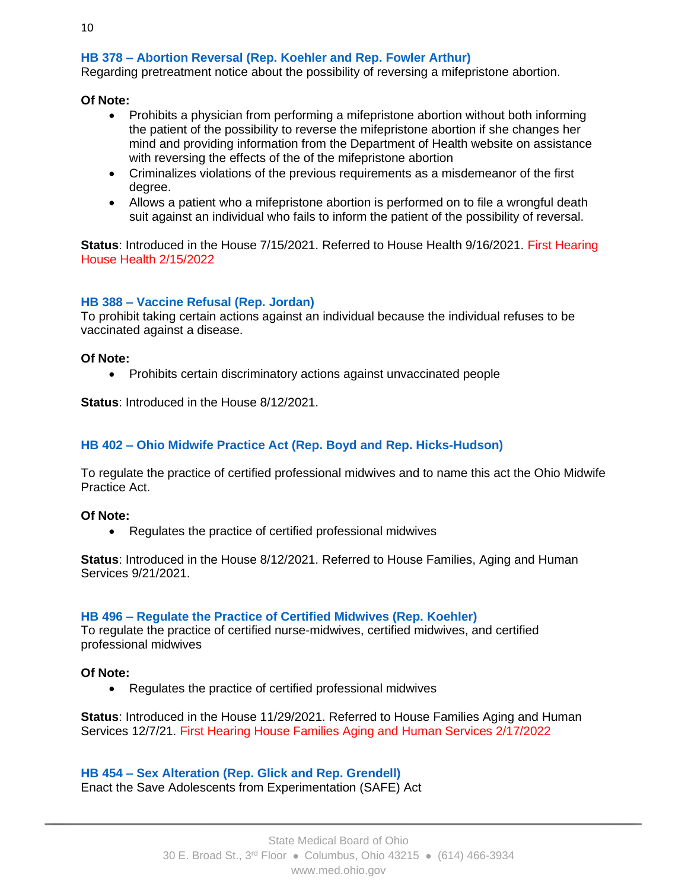# **HB 378 – Abortion Reversal (Rep. Koehler and Rep. Fowler Arthur)**

Regarding pretreatment notice about the possibility of reversing a mifepristone abortion.

### **Of Note:**

- Prohibits a physician from performing a mifepristone abortion without both informing the patient of the possibility to reverse the mifepristone abortion if she changes her mind and providing information from the Department of Health website on assistance with reversing the effects of the of the mifepristone abortion
- Criminalizes violations of the previous requirements as a misdemeanor of the first degree.
- Allows a patient who a mifepristone abortion is performed on to file a wrongful death suit against an individual who fails to inform the patient of the possibility of reversal.

**Status**: Introduced in the House 7/15/2021. Referred to House Health 9/16/2021. First Hearing House Health 2/15/2022

# **HB 388 – Vaccine Refusal (Rep. Jordan)**

To prohibit taking certain actions against an individual because the individual refuses to be vaccinated against a disease.

#### **Of Note:**

• Prohibits certain discriminatory actions against unvaccinated people

**Status**: Introduced in the House 8/12/2021.

# **HB 402 – Ohio Midwife Practice Act (Rep. Boyd and Rep. Hicks-Hudson)**

To regulate the practice of certified professional midwives and to name this act the Ohio Midwife Practice Act.

**Of Note:**

• Regulates the practice of certified professional midwives

**Status**: Introduced in the House 8/12/2021. Referred to House Families, Aging and Human Services 9/21/2021.

#### **HB 496 – Regulate the Practice of Certified Midwives (Rep. Koehler)**

To regulate the practice of certified nurse-midwives, certified midwives, and certified professional midwives

#### **Of Note:**

• Regulates the practice of certified professional midwives

**Status**: Introduced in the House 11/29/2021. Referred to House Families Aging and Human Services 12/7/21. First Hearing House Families Aging and Human Services 2/17/2022

# **HB 454 – Sex Alteration (Rep. Glick and Rep. Grendell)** Enact the Save Adolescents from Experimentation (SAFE) Act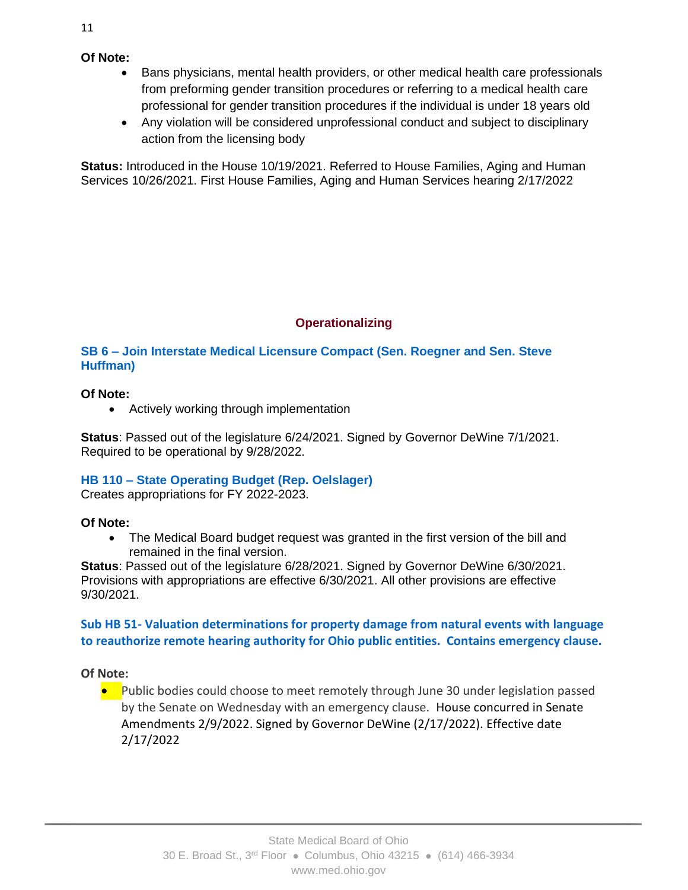- Bans physicians, mental health providers, or other medical health care professionals from preforming gender transition procedures or referring to a medical health care professional for gender transition procedures if the individual is under 18 years old
- Any violation will be considered unprofessional conduct and subject to disciplinary action from the licensing body

**Status:** Introduced in the House 10/19/2021. Referred to House Families, Aging and Human Services 10/26/2021. First House Families, Aging and Human Services hearing 2/17/2022

# **Operationalizing**

**SB 6 – Join Interstate Medical Licensure Compact (Sen. Roegner and Sen. Steve Huffman)**

# **Of Note:**

• Actively working through implementation

**Status**: Passed out of the legislature 6/24/2021. Signed by Governor DeWine 7/1/2021. Required to be operational by 9/28/2022.

# **HB 110 – State Operating Budget (Rep. Oelslager)**

Creates appropriations for FY 2022-2023.

# **Of Note:**

• The Medical Board budget request was granted in the first version of the bill and remained in the final version.

**Status**: Passed out of the legislature 6/28/2021. Signed by Governor DeWine 6/30/2021. Provisions with appropriations are effective 6/30/2021. All other provisions are effective 9/30/2021.

# **Sub HB 51- Valuation determinations for property damage from natural events with language to reauthorize remote hearing authority for Ohio public entities. Contains emergency clause.**

**Of Note:**

● Public bodies could choose to meet remotely through June 30 under legislation passed<br>Thy the Senate on Wednesday with an emergency clause. House concurred in Senate by the Senate on Wednesday with an emergency clause. House concurred in Senate Amendments 2/9/2022. Signed by Governor DeWine (2/17/2022). Effective date 2/17/2022